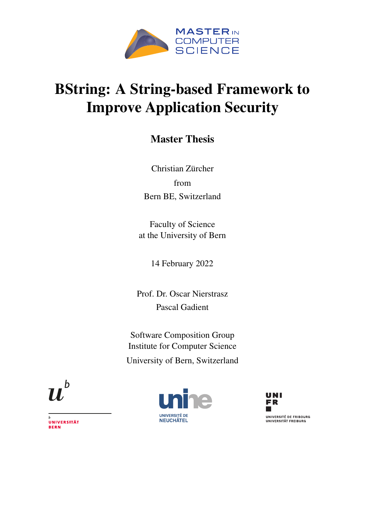

### BString: A String-based Framework to Improve Application Security

### Master Thesis

Christian Zürcher from Bern BE, Switzerland

Faculty of Science at the University of Bern

14 February 2022

Prof. Dr. Oscar Nierstrasz Pascal Gadient

Software Composition Group Institute for Computer Science University of Bern, Switzerland



**UNIVERSITÉ DE NEUCHÂTEL** 



UNIVERSITÄT **BERN**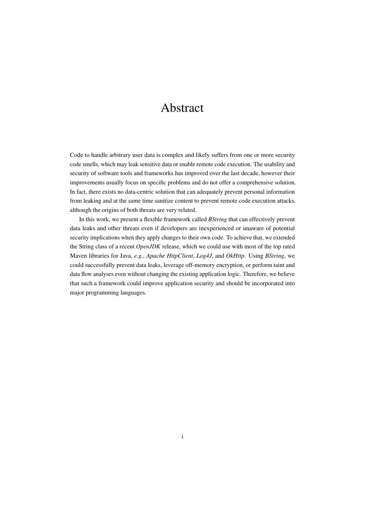### Abstract

Code to handle arbitrary user data is complex and likely suffers from one or more security code smells, which may leak sensitive data or enable remote code execution. The usability and security of software tools and frameworks has improved over the last decade, however their improvements usually focus on specific problems and do not offer a comprehensive solution. In fact, there exists no data-centric solution that can adequately prevent personal information from leaking and at the same time sanitize content to prevent remote code execution attacks, although the origins of both threats are very related.

In this work, we present a flexible framework called *BString* that can effectively prevent data leaks and other threats even if developers are inexperienced or unaware of potential security implications when they apply changes to their own code. To achieve that, we extended the String class of a recent *OpenJDK* release, which we could use with most of the top rated Maven libraries for Java, *e.g.*, *Apache HttpClient*, *Log4J*, and *OkHttp*. Using *BString*, we could successfully prevent data leaks, leverage off-memory encryption, or perform taint and data flow analyses even without changing the existing application logic. Therefore, we believe that such a framework could improve application security and should be incorporated into major programming languages.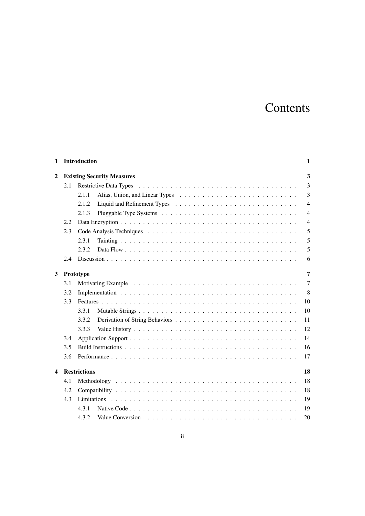### Contents

| 1 |     | Introduction                      | 1              |
|---|-----|-----------------------------------|----------------|
| 2 |     | <b>Existing Security Measures</b> | 3              |
|   | 2.1 |                                   | 3              |
|   |     | 2.1.1                             | 3              |
|   |     | 2.1.2                             | $\overline{4}$ |
|   |     | 2.1.3                             | $\overline{4}$ |
|   | 2.2 |                                   | $\overline{4}$ |
|   | 2.3 |                                   | 5              |
|   |     | 2.3.1                             | 5              |
|   |     | 2.3.2                             | 5              |
|   | 2.4 |                                   | 6              |
| 3 |     | Prototype                         | $\overline{7}$ |
|   | 3.1 |                                   | 7              |
|   | 3.2 |                                   | 8              |
|   | 3.3 |                                   | 10             |
|   |     | 3.3.1                             | 10             |
|   |     | 3.3.2                             | 11             |
|   |     | 3.3.3                             | 12             |
|   | 3.4 |                                   | 14             |
|   | 3.5 |                                   | 16             |
|   | 3.6 |                                   | 17             |
| 4 |     | <b>Restrictions</b>               | 18             |
|   | 4.1 |                                   | 18             |
|   | 4.2 |                                   | 18             |
|   | 4.3 |                                   | 19             |
|   |     | 4.3.1                             | 19             |
|   |     | 4.3.2                             | 20             |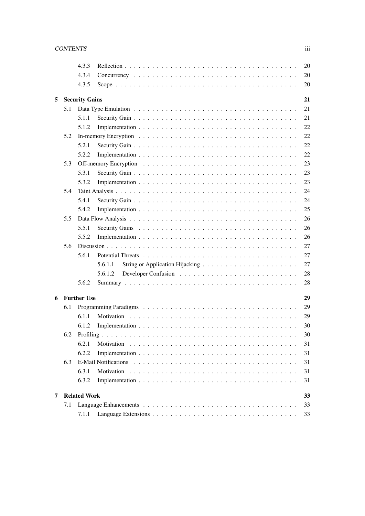|   |     | 4.3.3                       | 20            |  |  |  |  |  |  |  |  |  |
|---|-----|-----------------------------|---------------|--|--|--|--|--|--|--|--|--|
|   |     | 4.3.4                       | 20            |  |  |  |  |  |  |  |  |  |
|   |     | 4.3.5                       | 20            |  |  |  |  |  |  |  |  |  |
| 5 |     | 21<br><b>Security Gains</b> |               |  |  |  |  |  |  |  |  |  |
|   | 5.1 |                             | 21            |  |  |  |  |  |  |  |  |  |
|   |     | 5.1.1                       | 21            |  |  |  |  |  |  |  |  |  |
|   |     | 5.1.2                       | 22            |  |  |  |  |  |  |  |  |  |
|   | 5.2 |                             | 22            |  |  |  |  |  |  |  |  |  |
|   |     | 5.2.1                       | 22            |  |  |  |  |  |  |  |  |  |
|   |     | 5.2.2                       | 22            |  |  |  |  |  |  |  |  |  |
|   | 5.3 |                             | 23            |  |  |  |  |  |  |  |  |  |
|   |     | 5.3.1                       | 23            |  |  |  |  |  |  |  |  |  |
|   |     | 5.3.2                       | 23            |  |  |  |  |  |  |  |  |  |
|   | 5.4 |                             | 24            |  |  |  |  |  |  |  |  |  |
|   |     | 5.4.1                       | 24            |  |  |  |  |  |  |  |  |  |
|   |     | 5.4.2                       | 25            |  |  |  |  |  |  |  |  |  |
|   | 5.5 |                             | 26            |  |  |  |  |  |  |  |  |  |
|   |     | 5.5.1                       | 26            |  |  |  |  |  |  |  |  |  |
|   |     | 5.5.2                       | 26            |  |  |  |  |  |  |  |  |  |
|   | 5.6 |                             | 27            |  |  |  |  |  |  |  |  |  |
|   |     | 5.6.1                       | 27            |  |  |  |  |  |  |  |  |  |
|   |     |                             | 27<br>5.6.1.1 |  |  |  |  |  |  |  |  |  |
|   |     |                             | 28<br>5.6.1.2 |  |  |  |  |  |  |  |  |  |
|   |     | 5.6.2                       | 28            |  |  |  |  |  |  |  |  |  |
| 6 |     | <b>Further Use</b>          | 29            |  |  |  |  |  |  |  |  |  |
|   | 6.1 |                             | 29            |  |  |  |  |  |  |  |  |  |
|   |     | 6.1.1                       | 29            |  |  |  |  |  |  |  |  |  |
|   |     | 6.1.2                       | 30            |  |  |  |  |  |  |  |  |  |
|   | 6.2 |                             | 30            |  |  |  |  |  |  |  |  |  |
|   |     | 6.2.1                       | 31            |  |  |  |  |  |  |  |  |  |
|   |     | 6.2.2                       | 31            |  |  |  |  |  |  |  |  |  |
|   | 6.3 |                             | 31            |  |  |  |  |  |  |  |  |  |
|   |     | 6.3.1                       | 31            |  |  |  |  |  |  |  |  |  |
|   |     | 6.3.2                       | 31            |  |  |  |  |  |  |  |  |  |
| 7 |     | <b>Related Work</b>         | 33            |  |  |  |  |  |  |  |  |  |
|   | 7.1 |                             | 33            |  |  |  |  |  |  |  |  |  |
|   |     | 7.1.1                       | 33            |  |  |  |  |  |  |  |  |  |
|   |     |                             |               |  |  |  |  |  |  |  |  |  |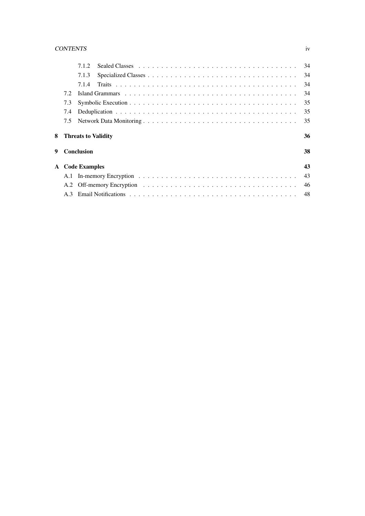#### CONTENTS iv

|   |     | 712                        |  |  |  |  |  |  |  |  |  |  |  | 34 |
|---|-----|----------------------------|--|--|--|--|--|--|--|--|--|--|--|----|
|   |     | 7.1.3                      |  |  |  |  |  |  |  |  |  |  |  | 34 |
|   |     | 7.1.4                      |  |  |  |  |  |  |  |  |  |  |  | 34 |
|   | 7.2 |                            |  |  |  |  |  |  |  |  |  |  |  | 34 |
|   | 7.3 |                            |  |  |  |  |  |  |  |  |  |  |  | 35 |
|   | 7.4 |                            |  |  |  |  |  |  |  |  |  |  |  | 35 |
|   | 7.5 |                            |  |  |  |  |  |  |  |  |  |  |  | 35 |
| 8 |     | <b>Threats to Validity</b> |  |  |  |  |  |  |  |  |  |  |  | 36 |
| 9 |     | Conclusion                 |  |  |  |  |  |  |  |  |  |  |  | 38 |
|   |     | <b>A</b> Code Examples     |  |  |  |  |  |  |  |  |  |  |  | 43 |
|   |     |                            |  |  |  |  |  |  |  |  |  |  |  | 43 |
|   |     |                            |  |  |  |  |  |  |  |  |  |  |  | 46 |
|   |     |                            |  |  |  |  |  |  |  |  |  |  |  | 48 |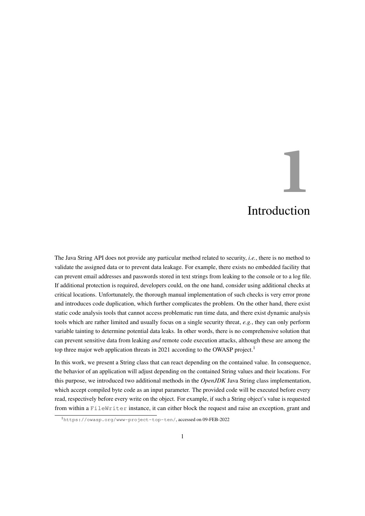# **1** Introduction

<span id="page-5-0"></span>The Java String API does not provide any particular method related to security, *i.e.*, there is no method to validate the assigned data or to prevent data leakage. For example, there exists no embedded facility that can prevent email addresses and passwords stored in text strings from leaking to the console or to a log file. If additional protection is required, developers could, on the one hand, consider using additional checks at critical locations. Unfortunately, the thorough manual implementation of such checks is very error prone and introduces code duplication, which further complicates the problem. On the other hand, there exist static code analysis tools that cannot access problematic run time data, and there exist dynamic analysis tools which are rather limited and usually focus on a single security threat, *e.g.*, they can only perform variable tainting to determine potential data leaks. In other words, there is no comprehensive solution that can prevent sensitive data from leaking *and* remote code execution attacks, although these are among the top three major web application threats in 202[1](#page-5-1) according to the OWASP project.<sup>1</sup>

In this work, we present a String class that can react depending on the contained value. In consequence, the behavior of an application will adjust depending on the contained String values and their locations. For this purpose, we introduced two additional methods in the *OpenJDK* Java String class implementation, which accept compiled byte code as an input parameter. The provided code will be executed before every read, respectively before every write on the object. For example, if such a String object's value is requested from within a FileWriter instance, it can either block the request and raise an exception, grant and

<span id="page-5-1"></span><sup>1</sup><https://owasp.org/www-project-top-ten/>, accessed on 09-FEB-2022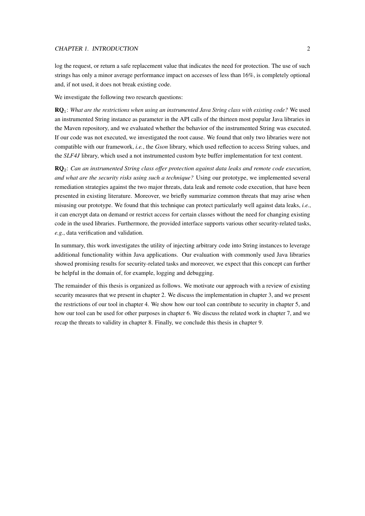#### CHAPTER 1. INTRODUCTION 2

log the request, or return a safe replacement value that indicates the need for protection. The use of such strings has only a minor average performance impact on accesses of less than 16%, is completely optional and, if not used, it does not break existing code.

We investigate the following two research questions:

RQ1: *What are the restrictions when using an instrumented Java String class with existing code?* We used an instrumented String instance as parameter in the API calls of the thirteen most popular Java libraries in the Maven repository, and we evaluated whether the behavior of the instrumented String was executed. If our code was not executed, we investigated the root cause. We found that only two libraries were not compatible with our framework, *i.e.*, the *Gson* library, which used reflection to access String values, and the *SLF4J* library, which used a not instrumented custom byte buffer implementation for text content.

RQ2: *Can an instrumented String class offer protection against data leaks and remote code execution, and what are the security risks using such a technique?* Using our prototype, we implemented several remediation strategies against the two major threats, data leak and remote code execution, that have been presented in existing literature. Moreover, we briefly summarize common threats that may arise when misusing our prototype. We found that this technique can protect particularly well against data leaks, *i.e.*, it can encrypt data on demand or restrict access for certain classes without the need for changing existing code in the used libraries. Furthermore, the provided interface supports various other security-related tasks, *e.g.*, data verification and validation.

In summary, this work investigates the utility of injecting arbitrary code into String instances to leverage additional functionality within Java applications. Our evaluation with commonly used Java libraries showed promising results for security-related tasks and moreover, we expect that this concept can further be helpful in the domain of, for example, logging and debugging.

The remainder of this thesis is organized as follows. We motivate our approach with a review of existing security measures that we present in [chapter 2.](#page-7-0) We discuss the implementation in [chapter 3,](#page-11-0) and we present the restrictions of our tool in [chapter 4.](#page-22-0) We show how our tool can contribute to security in [chapter 5,](#page-25-0) and how our tool can be used for other purposes in [chapter 6.](#page-33-0) We discuss the related work in [chapter 7,](#page-37-0) and we recap the threats to validity in [chapter 8.](#page-40-0) Finally, we conclude this thesis in [chapter 9.](#page-42-0)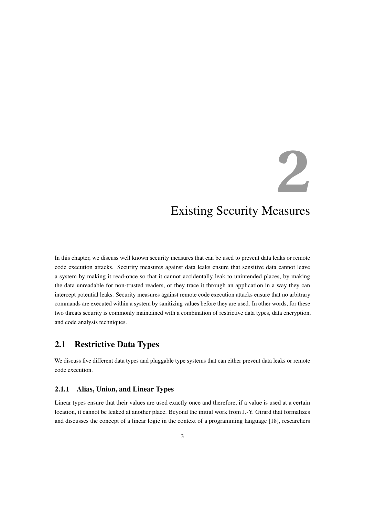# **2**

### <span id="page-7-0"></span>Existing Security Measures

In this chapter, we discuss well known security measures that can be used to prevent data leaks or remote code execution attacks. Security measures against data leaks ensure that sensitive data cannot leave a system by making it read-once so that it cannot accidentally leak to unintended places, by making the data unreadable for non-trusted readers, or they trace it through an application in a way they can intercept potential leaks. Security measures against remote code execution attacks ensure that no arbitrary commands are executed within a system by sanitizing values before they are used. In other words, for these two threats security is commonly maintained with a combination of restrictive data types, data encryption, and code analysis techniques.

#### <span id="page-7-1"></span>2.1 Restrictive Data Types

We discuss five different data types and pluggable type systems that can either prevent data leaks or remote code execution.

#### <span id="page-7-2"></span>2.1.1 Alias, Union, and Linear Types

Linear types ensure that their values are used exactly once and therefore, if a value is used at a certain location, it cannot be leaked at another place. Beyond the initial work from J.-Y. Girard that formalizes and discusses the concept of a linear logic in the context of a programming language [\[18\]](#page-44-0), researchers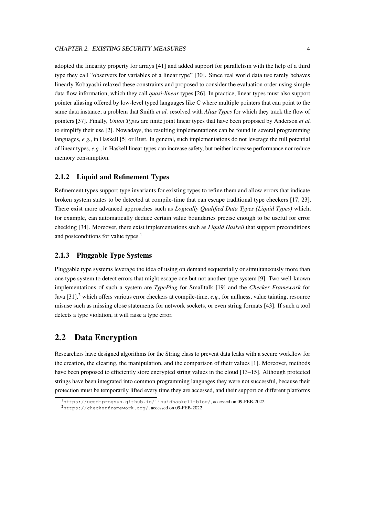#### CHAPTER 2. EXISTING SECURITY MEASURES 4

adopted the linearity property for arrays [\[41\]](#page-46-0) and added support for parallelism with the help of a third type they call "observers for variables of a linear type" [\[30\]](#page-45-0). Since real world data use rarely behaves linearly Kobayashi relaxed these constraints and proposed to consider the evaluation order using simple data flow information, which they call *quasi-linear* types [\[26\]](#page-44-1). In practice, linear types must also support pointer aliasing offered by low-level typed languages like C where multiple pointers that can point to the same data instance; a problem that Smith *et al.* resolved with *Alias Types* for which they track the flow of pointers [\[37\]](#page-45-1). Finally, *Union Types* are finite joint linear types that have been proposed by Anderson *et al.* to simplify their use [\[2\]](#page-43-0). Nowadays, the resulting implementations can be found in several programming languages, *e.g.*, in Haskell [\[5\]](#page-43-1) or Rust. In general, such implementations do not leverage the full potential of linear types, *e.g.*, in Haskell linear types can increase safety, but neither increase performance nor reduce memory consumption.

#### <span id="page-8-0"></span>2.1.2 Liquid and Refinement Types

Refinement types support type invariants for existing types to refine them and allow errors that indicate broken system states to be detected at compile-time that can escape traditional type checkers [\[17,](#page-44-2) [23\]](#page-44-3). There exist more advanced approaches such as *Logically Qualified Data Types (Liquid Types)* which, for example, can automatically deduce certain value boundaries precise enough to be useful for error checking [\[34\]](#page-45-2). Moreover, there exist implementations such as *Liquid Haskell* that support preconditions and postconditions for value types.<sup>[1](#page-8-3)</sup>

#### <span id="page-8-1"></span>2.1.3 Pluggable Type Systems

Pluggable type systems leverage the idea of using on demand sequentially or simultaneously more than one type system to detect errors that might escape one but not another type system [\[9\]](#page-43-2). Two well-known implementations of such a system are *TypePlug* for Smalltalk [\[19\]](#page-44-4) and the *Checker Framework* for Java  $[31]$ ,<sup>[2](#page-8-4)</sup> which offers various error checkers at compile-time, *e.g.*, for nullness, value tainting, resource misuse such as missing close statements for network sockets, or even string formats [\[43\]](#page-46-1). If such a tool detects a type violation, it will raise a type error.

#### <span id="page-8-2"></span>2.2 Data Encryption

Researchers have designed algorithms for the String class to prevent data leaks with a secure workflow for the creation, the clearing, the manipulation, and the comparison of their values [\[1\]](#page-43-3). Moreover, methods have been proposed to efficiently store encrypted string values in the cloud [\[13](#page-44-5)[–15\]](#page-44-6). Although protected strings have been integrated into common programming languages they were not successful, because their protection must be temporarily lifted every time they are accessed, and their support on different platforms

<span id="page-8-3"></span><sup>1</sup><https://ucsd-progsys.github.io/liquidhaskell-blog/>, accessed on 09-FEB-2022

<span id="page-8-4"></span><sup>2</sup><https://checkerframework.org/>, accessed on 09-FEB-2022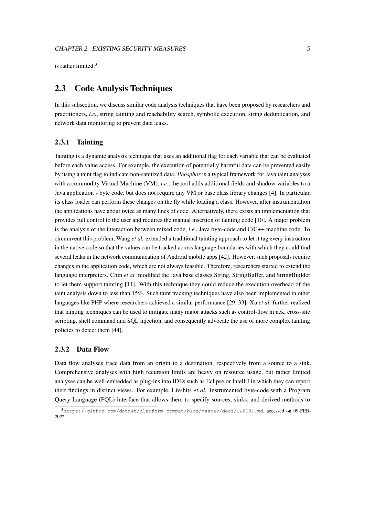<span id="page-9-0"></span>is rather limited  $3$ 

#### 2.3 Code Analysis Techniques

In this subsection, we discuss similar code analysis techniques that have been proposed by researchers and practitioners, *i.e.*, string tainting and reachability search, symbolic execution, string deduplication, and network data monitoring to prevent data leaks.

#### <span id="page-9-1"></span>2.3.1 Tainting

Tainting is a dynamic analysis technique that uses an additional flag for each variable that can be evaluated before each value access. For example, the execution of potentially harmful data can be prevented easily by using a taint flag to indicate non-sanitized data. *Phosphor* is a typical framework for Java taint analyses with a commodity Virtual Machine (VM), *i.e.*, the tool adds additional fields and shadow variables to a Java application's byte code, but does not require any VM or base class library changes [\[4\]](#page-43-4). In particular, its class loader can perform these changes on the fly while loading a class. However, after instrumentation the applications have about twice as many lines of code. Alternatively, there exists an implementation that provides full control to the user and requires the manual insertion of tainting code [\[10\]](#page-43-5). A major problem is the analysis of the interaction between mixed code, *i.e.*, Java byte-code and C/C++ machine code. To circumvent this problem, Wang *et al.* extended a traditional tainting approach to let it tag every instruction in the native code so that the values can be tracked across language boundaries with which they could find several leaks in the network communication of Android mobile apps [\[42\]](#page-46-2). However, such proposals require changes in the application code, which are not always feasible. Therefore, researchers started to extend the language interpreters. Chin *et al.* modified the Java base classes String, StringBuffer, and StringBuilder to let them support tainting [\[11\]](#page-43-6). With this technique they could reduce the execution overhead of the taint analysis down to less than 15%. Such taint tracking techniques have also been implemented in other languages like PHP where researchers achieved a similar performance [\[29,](#page-45-4) [33\]](#page-45-5). Xu *et al.* further realized that tainting techniques can be used to mitigate many major attacks such as control-flow hijack, cross-site scripting, shell command and SQL injection, and consequently advocate the use of more complex tainting policies to detect them [\[44\]](#page-46-3).

#### <span id="page-9-2"></span>2.3.2 Data Flow

Data flow analyses trace data from an origin to a destination, respectively from a source to a sink. Comprehensive analyses with high recursion limits are heavy on resource usage, but rather limited analyses can be well-embedded as plug-ins into IDEs such as Eclipse or IntelliJ in which they can report their findings in distinct views. For example, Livshits *et al.* instrumented byte-code with a Program Query Language (PQL) interface that allows them to specify sources, sinks, and derived methods to

<span id="page-9-3"></span><sup>3</sup><https://github.com/dotnet/platform-compat/blob/master/docs/DE0001.md>, accessed on 09-FEB-2022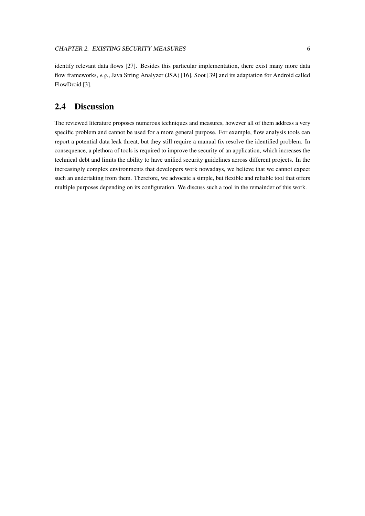identify relevant data flows [\[27\]](#page-45-6). Besides this particular implementation, there exist many more data flow frameworks, *e.g.*, Java String Analyzer (JSA) [\[16\]](#page-44-7), Soot [\[39\]](#page-45-7) and its adaptation for Android called FlowDroid [\[3\]](#page-43-7).

#### <span id="page-10-0"></span>2.4 Discussion

The reviewed literature proposes numerous techniques and measures, however all of them address a very specific problem and cannot be used for a more general purpose. For example, flow analysis tools can report a potential data leak threat, but they still require a manual fix resolve the identified problem. In consequence, a plethora of tools is required to improve the security of an application, which increases the technical debt and limits the ability to have unified security guidelines across different projects. In the increasingly complex environments that developers work nowadays, we believe that we cannot expect such an undertaking from them. Therefore, we advocate a simple, but flexible and reliable tool that offers multiple purposes depending on its configuration. We discuss such a tool in the remainder of this work.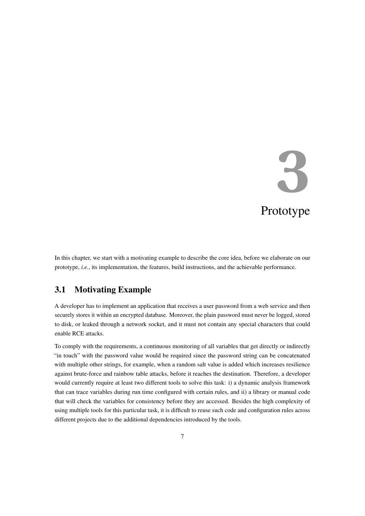# **3** Prototype

<span id="page-11-0"></span>In this chapter, we start with a motivating example to describe the core idea, before we elaborate on our prototype, *i.e.*, its implementation, the features, build instructions, and the achievable performance.

#### <span id="page-11-1"></span>3.1 Motivating Example

A developer has to implement an application that receives a user password from a web service and then securely stores it within an encrypted database. Moreover, the plain password must never be logged, stored to disk, or leaked through a network socket, and it must not contain any special characters that could enable RCE attacks.

To comply with the requirements, a continuous monitoring of all variables that get directly or indirectly "in touch" with the password value would be required since the password string can be concatenated with multiple other strings, for example, when a random salt value is added which increases resilience against brute-force and rainbow table attacks, before it reaches the destination. Therefore, a developer would currently require at least two different tools to solve this task: i) a dynamic analysis framework that can trace variables during run time configured with certain rules, and ii) a library or manual code that will check the variables for consistency before they are accessed. Besides the high complexity of using multiple tools for this particular task, it is difficult to reuse such code and configuration rules across different projects due to the additional dependencies introduced by the tools.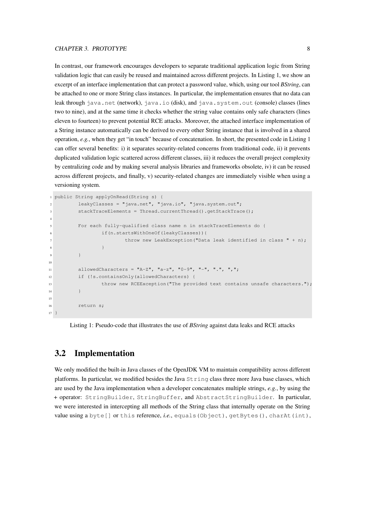In contrast, our framework encourages developers to separate traditional application logic from String validation logic that can easily be reused and maintained across different projects. In [Listing 1,](#page-12-1) we show an excerpt of an interface implementation that can protect a password value, which, using our tool *BString*, can be attached to one or more String class instances. In particular, the implementation ensures that no data can leak through java.net (network), java.io (disk), and java.system.out (console) classes (lines two to nine), and at the same time it checks whether the string value contains only safe characters (lines eleven to fourteen) to prevent potential RCE attacks. Moreover, the attached interface implementation of a String instance automatically can be derived to every other String instance that is involved in a shared operation, *e.g.*, when they get "in touch" because of concatenation. In short, the presented code in [Listing 1](#page-12-1) can offer several benefits: i) it separates security-related concerns from traditional code, ii) it prevents duplicated validation logic scattered across different classes, iii) it reduces the overall project complexity by centralizing code and by making several analysis libraries and frameworks obsolete, iv) it can be reused across different projects, and finally, v) security-related changes are immediately visible when using a versioning system.

```
1 public String applyOnRead(String s) {
2 leakyClasses = "java.net", "java.io", "java.system.out";
         stackTraceElements = Thread.currentThread().getStackTrace();
4
         5 For each fully-qualified class name n in stackTraceElements do {
                 6 if(n.startsWithOneOf(leakyClasses)){
                        throw new LeakException("Data leak identified in class " + n);
8 }
9 }
10
11 allowedCharacters = "A-Z", "a-z", "0-9", "-", ".", ",";
12 if (!s.containsOnly(allowedCharacters) {
13 throw new RCEException("The provided text contains unsafe characters.");
\begin{array}{ccc} 14 & & & \end{array}15
16 return s;
17 }
```
Listing 1: Pseudo-code that illustrates the use of *BString* against data leaks and RCE attacks

#### <span id="page-12-0"></span>3.2 Implementation

We only modified the built-in Java classes of the OpenJDK VM to maintain compatibility across different platforms. In particular, we modified besides the Java String class three more Java base classes, which are used by the Java implementation when a developer concatenates multiple strings, *e.g.*, by using the + operator: StringBuilder, StringBuffer, and AbstractStringBuilder. In particular, we were interested in intercepting all methods of the String class that internally operate on the String value using a byte[] or this reference, *i.e.*, equals(Object), getBytes(), charAt(int),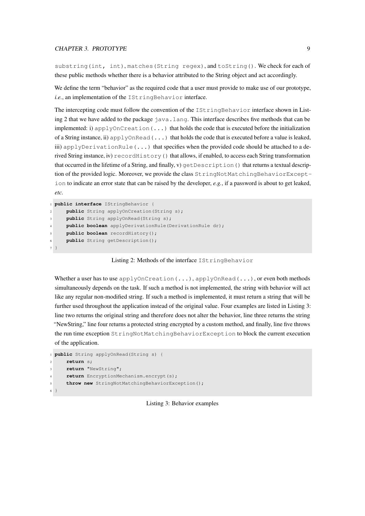#### CHAPTER 3. PROTOTYPE 9

substring(int, int), matches(String regex), and toString(). We check for each of these public methods whether there is a behavior attributed to the String object and act accordingly.

We define the term "behavior" as the required code that a user must provide to make use of our prototype, *i.e.*, an implementation of the IStringBehavior interface.

The intercepting code must follow the convention of the IStringBehavior interface shown in [List](#page-13-0)[ing 2](#page-13-0) that we have added to the package java.lang. This interface describes five methods that can be implemented: i) applyOnCreation( $\dots$ ) that holds the code that is executed before the initialization of a String instance, ii) applyOnRead( $\dots$ ) that holds the code that is executed before a value is leaked, iii) applyDerivationRule( $\ldots$ ) that specifies when the provided code should be attached to a derived String instance, iv)  $recordHistory()$  that allows, if enabled, to access each String transformation that occurred in the lifetime of a String, and finally, v) getDescription() that returns a textual description of the provided logic. Moreover, we provide the class StringNotMatchingBehaviorException to indicate an error state that can be raised by the developer, *e.g.*, if a password is about to get leaked, *etc.*

```
1 public interface IStringBehavior {
2 public String applyOnCreation(String s);
     public String applyOnRead(String s);
    public boolean applyDerivationRule(DerivationRule dr);
     public boolean recordHistory();
     6 public String getDescription();
7 }
```
Listing 2: Methods of the interface IStringBehavior

Whether a user has to use applyOnCreation(...), applyOnRead(...), or even both methods simultaneously depends on the task. If such a method is not implemented, the string with behavior will act like any regular non-modified string. If such a method is implemented, it must return a string that will be further used throughout the application instead of the original value. Four examples are listed in [Listing 3:](#page-13-1) line two returns the original string and therefore does not alter the behavior, line three returns the string "NewString," line four returns a protected string encrypted by a custom method, and finally, line five throws the run time exception StringNotMatchingBehaviorException to block the current execution of the application.

```
1 public String applyOnRead(String s) {
2 return s;
     3 return "NewString";
     return EncryptionMechanism.encrypt(s);
5 throw new StringNotMatchingBehaviorException();
6 }
```
Listing 3: Behavior examples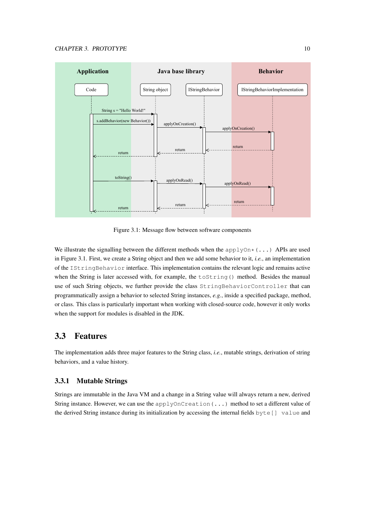

<span id="page-14-2"></span>Figure 3.1: Message flow between software components

We illustrate the signalling between the different methods when the applyOn $*(\ldots)$  APIs are used in [Figure 3.1.](#page-14-2) First, we create a String object and then we add some behavior to it, *i.e.*, an implementation of the IStringBehavior interface. This implementation contains the relevant logic and remains active when the String is later accessed with, for example, the toString() method. Besides the manual use of such String objects, we further provide the class StringBehaviorController that can programmatically assign a behavior to selected String instances, *e.g.*, inside a specified package, method, or class. This class is particularly important when working with closed-source code, however it only works when the support for modules is disabled in the JDK.

#### <span id="page-14-0"></span>3.3 Features

The implementation adds three major features to the String class, *i.e.*, mutable strings, derivation of string behaviors, and a value history.

#### <span id="page-14-1"></span>3.3.1 Mutable Strings

Strings are immutable in the Java VM and a change in a String value will always return a new, derived String instance. However, we can use the applyOnCreation(...) method to set a different value of the derived String instance during its initialization by accessing the internal fields  $byte[]$  value and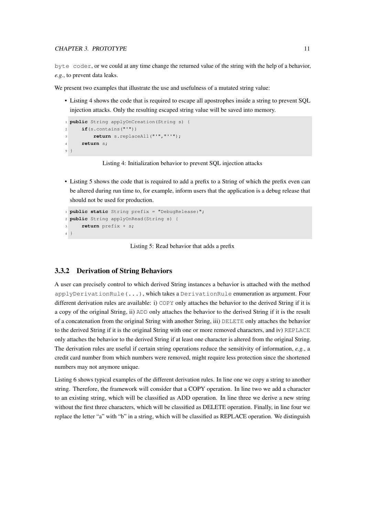#### CHAPTER 3. PROTOTYPE 11

byte coder, or we could at any time change the returned value of the string with the help of a behavior, *e.g.*, to prevent data leaks.

We present two examples that illustrate the use and usefulness of a mutated string value:

• [Listing 4](#page-15-1) shows the code that is required to escape all apostrophes inside a string to prevent SQL injection attacks. Only the resulting escaped string value will be saved into memory.

```
1 public String applyOnCreation(String s) {
2 if(s.contains("'"))
3 return s.replaceAll("'","''");
4 return s;
5 }
```
Listing 4: Initialization behavior to prevent SQL injection attacks

• [Listing 5](#page-15-2) shows the code that is required to add a prefix to a String of which the prefix even can be altered during run time to, for example, inform users that the application is a debug release that should not be used for production.

```
1 public static String prefix = "DebugRelease:";
2 public String applyOnRead(String s) {
3 return prefix + s;
4 }
```
Listing 5: Read behavior that adds a prefix

#### <span id="page-15-0"></span>3.3.2 Derivation of String Behaviors

A user can precisely control to which derived String instances a behavior is attached with the method applyDerivationRule(...), which takes a DerivationRule enumeration as argument. Four different derivation rules are available: i) COPY only attaches the behavior to the derived String if it is a copy of the original String, ii) ADD only attaches the behavior to the derived String if it is the result of a concatenation from the original String with another String, iii) DELETE only attaches the behavior to the derived String if it is the original String with one or more removed characters, and iv) REPLACE only attaches the behavior to the derived String if at least one character is altered from the original String. The derivation rules are useful if certain string operations reduce the sensitivity of information, *e.g.*, a credit card number from which numbers were removed, might require less protection since the shortened numbers may not anymore unique.

[Listing 6](#page-16-1) shows typical examples of the different derivation rules. In line one we copy a string to another string. Therefore, the framework will consider that a COPY operation. In line two we add a character to an existing string, which will be classified as ADD operation. In line three we derive a new string without the first three characters, which will be classified as DELETE operation. Finally, in line four we replace the letter "a" with "b" in a string, which will be classified as REPLACE operation. We distinguish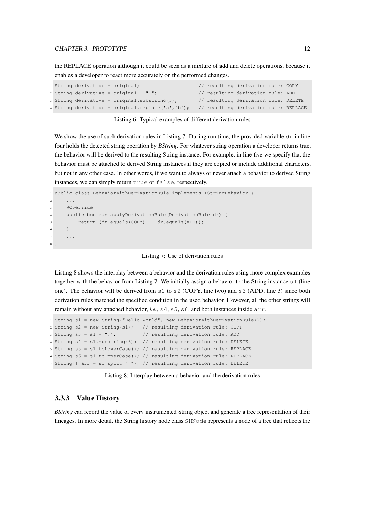#### CHAPTER 3. PROTOTYPE 12

the REPLACE operation although it could be seen as a mixture of add and delete operations, because it enables a developer to react more accurately on the performed changes.

```
1 String derivative = original; // resulting derivation rule: COPY
2 String derivative = original + "!"; // resulting derivation rule: ADD
3 String derivative = original.substring(3); // resulting derivation rule: DELETE
4 String derivative = original.replace('a','b'); // resulting derivation rule: REPLACE
```
Listing 6: Typical examples of different derivation rules

We show the use of such derivation rules in [Listing 7.](#page-16-2) During run time, the provided variable  $d\mathbf{r}$  in line four holds the detected string operation by *BString*. For whatever string operation a developer returns true, the behavior will be derived to the resulting String instance. For example, in line five we specify that the behavior must be attached to derived String instances if they are copied or include additional characters, but not in any other case. In other words, if we want to always or never attach a behavior to derived String instances, we can simply return true or false, respectively.

```
1 public class BehaviorWithDerivationRule implements IStringBehavior {
2 ...
3 @Override
     4 public boolean applyDerivationRule(DerivationRule dr) {
        5 return (dr.equals(COPY) || dr.equals(ADD));
6 }
     7 ...
8 }
```
Listing 7: Use of derivation rules

[Listing 8](#page-16-3) shows the interplay between a behavior and the derivation rules using more complex examples together with the behavior from [Listing 7.](#page-16-2) We initially assign a behavior to the String instance  $s1$  (line one). The behavior will be derived from s1 to s2 (COPY, line two) and s3 (ADD, line 3) since both derivation rules matched the specified condition in the used behavior. However, all the other strings will remain without any attached behavior, *i.e.*, s4, s5, s6, and both instances inside arr.

```
1 String s1 = new String("Hello World", new BehaviorWithDerivationRule());
2 String s2 = new String(s1); // resulting derivation rule: COPY
3 String s3 = s1 + "!"; // resulting derivation rule: ADD
4 String s4 = s1. substring(6); // resulting derivation rule: DELETE
5 String s5 = s1.toLowerCase(); // resulting derivation rule: REPLACE
6 String s6 = s1.toUpperCase(); // resulting derivation rule: REPLACE
7 String[] arr = s1.split(" "); // resulting derivation rule: DELETE
```
Listing 8: Interplay between a behavior and the derivation rules

#### <span id="page-16-0"></span>3.3.3 Value History

*BString* can record the value of every instrumented String object and generate a tree representation of their lineages. In more detail, the String history node class SHNode represents a node of a tree that reflects the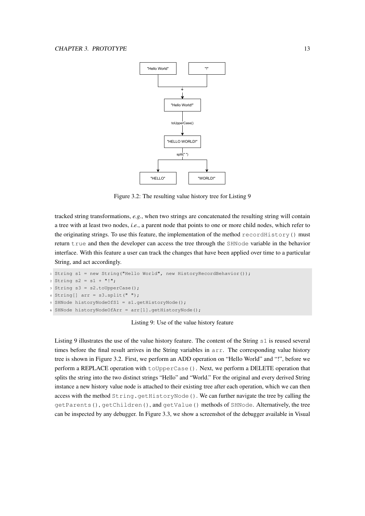

<span id="page-17-1"></span>Figure 3.2: The resulting value history tree for [Listing 9](#page-17-0)

tracked string transformations, *e.g.*, when two strings are concatenated the resulting string will contain a tree with at least two nodes, *i.e.*, a parent node that points to one or more child nodes, which refer to the originating strings. To use this feature, the implementation of the method  $\text{recordHistory}( )$  must return true and then the developer can access the tree through the SHNode variable in the behavior interface. With this feature a user can track the changes that have been applied over time to a particular String, and act accordingly.

```
1 String s1 = new String("Hello World", new HistoryRecordBehavior());
2 String s2 = s1 + "!";
3 String s3 = s2.t0UpperCase();
4 String[] arr = s3.split(" "");5 SHNode historyNodeOfS1 = s1.getHistoryNode();
6 SHNode historyNodeOfArr = arr[1].getHistoryNode();
```
Listing 9: Use of the value history feature

[Listing 9](#page-17-0) illustrates the use of the value history feature. The content of the String s1 is reused several times before the final result arrives in the String variables in arr. The corresponding value history tree is shown in [Figure 3.2.](#page-17-1) First, we perform an ADD operation on "Hello World" and "!", before we perform a REPLACE operation with toUpperCase(). Next, we perform a DELETE operation that splits the string into the two distinct strings "Hello" and "World." For the original and every derived String instance a new history value node is attached to their existing tree after each operation, which we can then access with the method String.getHistoryNode(). We can further navigate the tree by calling the getParents(), getChildren(), and getValue() methods of SHNode. Alternatively, the tree can be inspected by any debugger. In [Figure 3.3,](#page-18-1) we show a screenshot of the debugger available in Visual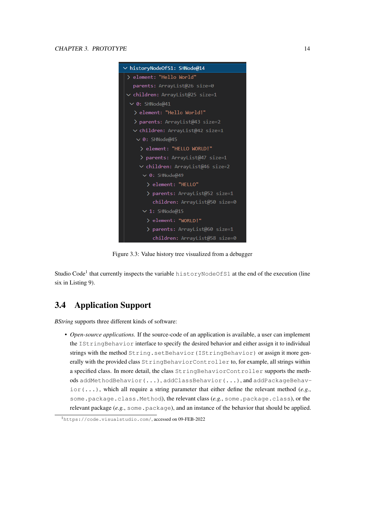

Figure 3.3: Value history tree visualized from a debugger

<span id="page-18-1"></span>Studio Code<sup>[1](#page-18-2)</sup> that currently inspects the variable historyNodeOfS1 at the end of the execution (line six in [Listing 9\)](#page-17-0).

#### <span id="page-18-0"></span>3.4 Application Support

*BString* supports three different kinds of software:

• *Open-source applications*. If the source-code of an application is available, a user can implement the IStringBehavior interface to specify the desired behavior and either assign it to individual strings with the method String.setBehavior(IStringBehavior) or assign it more generally with the provided class StringBehaviorController to, for example, all strings within a specified class. In more detail, the class StringBehaviorController supports the methods addMethodBehavior(...), addClassBehavior(...), and addPackageBehav- $\text{ior}(...),$  which all require a string parameter that either define the relevant method (*e.g.*, some.package.class.Method), the relevant class (*e.g.*, some.package.class), or the relevant package (*e.g.*, some.package), and an instance of the behavior that should be applied.

<span id="page-18-2"></span><sup>1</sup><https://code.visualstudio.com/>, accessed on 09-FEB-2022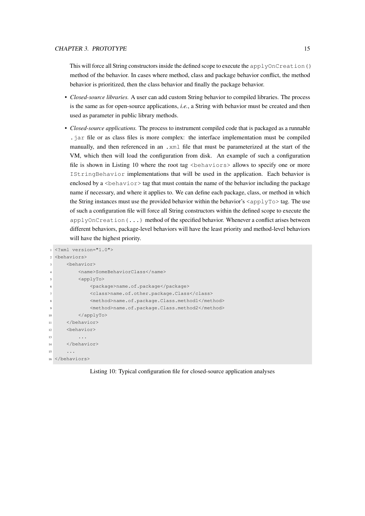This will force all String constructors inside the defined scope to execute the applyOnCreation() method of the behavior. In cases where method, class and package behavior conflict, the method behavior is prioritized, then the class behavior and finally the package behavior.

- *Closed-source libraries.* A user can add custom String behavior to compiled libraries. The process is the same as for open-source applications, *i.e.*, a String with behavior must be created and then used as parameter in public library methods.
- *Closed-source applications.* The process to instrument compiled code that is packaged as a runnable .jar file or as class files is more complex: the interface implementation must be compiled manually, and then referenced in an .xml file that must be parameterized at the start of the VM, which then will load the configuration from disk. An example of such a configuration file is shown in [Listing 10](#page-19-0) where the root tag  $\leq$  behaviors  $\geq$  allows to specify one or more IStringBehavior implementations that will be used in the application. Each behavior is enclosed by a  $\triangle$ behavior $>$  tag that must contain the name of the behavior including the package name if necessary, and where it applies to. We can define each package, class, or method in which the String instances must use the provided behavior within the behavior's  $\langle \text{applyTo} \rangle$  tag. The use of such a configuration file will force all String constructors within the defined scope to execute the  $applyOnCreatment(...)$  method of the specified behavior. Whenever a conflict arises between different behaviors, package-level behaviors will have the least priority and method-level behaviors will have the highest priority.

```
1 <?xml version="1.0">
2 <behaviors>
3 <behavior>
        4 <name>SomeBehaviorClass</name>
5 <applyTo>
6 <package>name.of.package</package>
7 <class>name.of.other.package.Class</class>
            <method>name.of.package.Class.method1</method>
            9 <method>name.of.package.Class.method2</method>
10 \langle /app1vTo \rangle11 </behavior>
12 <behavior>
13 ...
14 </behavior>
15 ...
16 </behaviors>
```
Listing 10: Typical configuration file for closed-source application analyses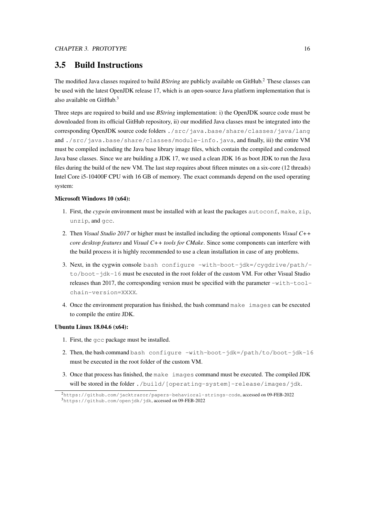#### <span id="page-20-0"></span>3.5 Build Instructions

The modified Java classes required to build *BString* are publicly available on GitHub.[2](#page-20-1) These classes can be used with the latest OpenJDK release 17, which is an open-source Java platform implementation that is also available on GitHub.[3](#page-20-2)

Three steps are required to build and use *BString* implementation: i) the OpenJDK source code must be downloaded from its official GitHub repository, ii) our modified Java classes must be integrated into the corresponding OpenJDK source code folders ./src/java.base/share/classes/java/lang and ./src/java.base/share/classes/module-info.java, and finally, iii) the entire VM must be compiled including the Java base library image files, which contain the compiled and condensed Java base classes. Since we are building a JDK 17, we used a clean JDK 16 as boot JDK to run the Java files during the build of the new VM. The last step requires about fifteen minutes on a six-core (12 threads) Intel Core i5-10400F CPU with 16 GB of memory. The exact commands depend on the used operating system:

#### Microsoft Windows 10 (x64):

- 1. First, the *cygwin* environment must be installed with at least the packages autoconf, make, zip, unzip, and gcc.
- 2. Then *Visual Studio 2017* or higher must be installed including the optional components *Visual C++ core desktop features* and *Visual C++ tools for CMake*. Since some components can interfere with the build process it is highly recommended to use a clean installation in case of any problems.
- 3. Next, in the cygwin console bash configure  $-with-boot-jdk=/cyqdrive/path/$ to/boot-jdk-16 must be executed in the root folder of the custom VM. For other Visual Studio releases than 2017, the corresponding version must be specified with the parameter  $-with-tool$ chain-version=XXXX.
- 4. Once the environment preparation has finished, the bash command make images can be executed to compile the entire JDK.

#### Ubuntu Linux 18.04.6 (x64):

- 1. First, the gcc package must be installed.
- 2. Then, the bash command bash configure -with-boot-jdk=/path/to/boot-jdk-16 must be executed in the root folder of the custom VM.
- 3. Once that process has finished, the make images command must be executed. The compiled JDK will be stored in the folder ./build/[operating-system]-release/images/jdk.

<span id="page-20-2"></span><span id="page-20-1"></span><sup>2</sup><https://github.com/jacktraror/papers-behavioral-strings-code>, accessed on 09-FEB-2022 <sup>3</sup><https://github.com/openjdk/jdk>, accessed on 09-FEB-2022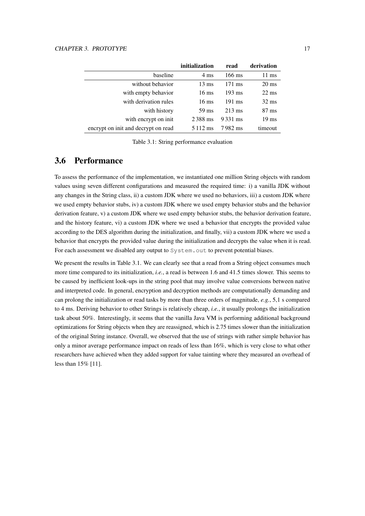#### CHAPTER 3. PROTOTYPE 17

|                                     | initialization  | read             | derivation      |
|-------------------------------------|-----------------|------------------|-----------------|
| baseline                            | $4 \text{ ms}$  | $166 \text{ ms}$ | 11 ms           |
| without behavior                    | $13 \text{ ms}$ | $171 \text{ ms}$ | $20 \text{ ms}$ |
| with empty behavior                 | $16 \text{ ms}$ | $193 \text{ ms}$ | $22 \text{ ms}$ |
| with derivation rules               | $16 \text{ ms}$ | $191 \text{ ms}$ | $32 \text{ ms}$ |
| with history                        | 59 ms           | $213 \text{ ms}$ | $87 \text{ ms}$ |
| with encrypt on init.               | 2388 ms         | 9331 ms          | $19 \text{ ms}$ |
| encrypt on init and decrypt on read | 5 1 1 2 m s     | 7982 ms          | timeout         |

<span id="page-21-1"></span>Table 3.1: String performance evaluation

#### <span id="page-21-0"></span>3.6 Performance

To assess the performance of the implementation, we instantiated one million String objects with random values using seven different configurations and measured the required time: i) a vanilla JDK without any changes in the String class, ii) a custom JDK where we used no behaviors, iii) a custom JDK where we used empty behavior stubs, iv) a custom JDK where we used empty behavior stubs and the behavior derivation feature, v) a custom JDK where we used empty behavior stubs, the behavior derivation feature, and the history feature, vi) a custom JDK where we used a behavior that encrypts the provided value according to the DES algorithm during the initialization, and finally, vii) a custom JDK where we used a behavior that encrypts the provided value during the initialization and decrypts the value when it is read. For each assessment we disabled any output to System. out to prevent potential biases.

We present the results in [Table 3.1.](#page-21-1) We can clearly see that a read from a String object consumes much more time compared to its initialization, *i.e.*, a read is between 1.6 and 41.5 times slower. This seems to be caused by inefficient look-ups in the string pool that may involve value conversions between native and interpreted code. In general, encryption and decryption methods are computationally demanding and can prolong the initialization or read tasks by more than three orders of magnitude, *e.g.*, 5,1 s compared to 4 ms. Deriving behavior to other Strings is relatively cheap, *i.e.*, it usually prolongs the initialization task about 50%. Interestingly, it seems that the vanilla Java VM is performing additional background optimizations for String objects when they are reassigned, which is 2.75 times slower than the initialization of the original String instance. Overall, we observed that the use of strings with rather simple behavior has only a minor average performance impact on reads of less than 16%, which is very close to what other researchers have achieved when they added support for value tainting where they measured an overhead of less than 15% [\[11\]](#page-43-6).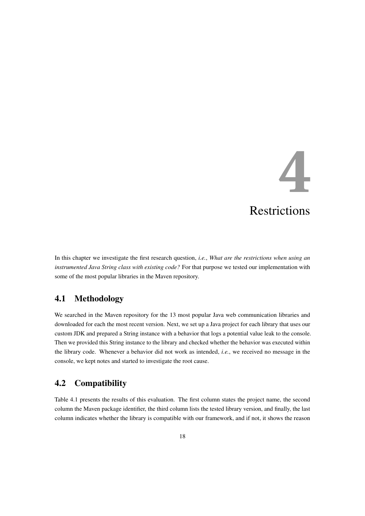## **4** Restrictions

<span id="page-22-0"></span>In this chapter we investigate the first research question, *i.e.*, *What are the restrictions when using an instrumented Java String class with existing code?* For that purpose we tested our implementation with some of the most popular libraries in the Maven repository.

#### <span id="page-22-1"></span>4.1 Methodology

We searched in the Maven repository for the 13 most popular Java web communication libraries and downloaded for each the most recent version. Next, we set up a Java project for each library that uses our custom JDK and prepared a String instance with a behavior that logs a potential value leak to the console. Then we provided this String instance to the library and checked whether the behavior was executed within the library code. Whenever a behavior did not work as intended, *i.e.*, we received no message in the console, we kept notes and started to investigate the root cause.

#### <span id="page-22-2"></span>4.2 Compatibility

[Table 4.1](#page-23-2) presents the results of this evaluation. The first column states the project name, the second column the Maven package identifier, the third column lists the tested library version, and finally, the last column indicates whether the library is compatible with our framework, and if not, it shows the reason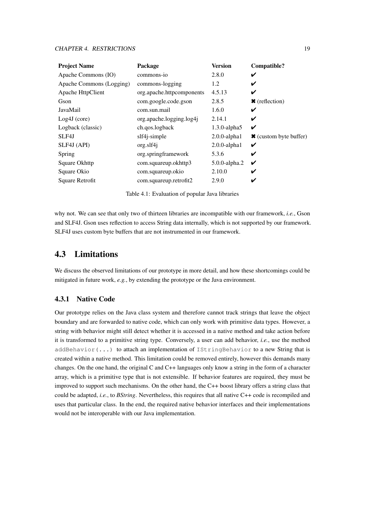#### CHAPTER 4. RESTRICTIONS 19

| <b>Project Name</b>      | Package                   | <b>Version</b>     | Compatible?            |
|--------------------------|---------------------------|--------------------|------------------------|
| Apache Commons (IO)      | commons-io                | 2.8.0              | ✔                      |
| Apache Commons (Logging) | commons-logging           | 1.2                | V                      |
| Apache HttpClient        | org.apache.httpcomponents | 4.5.13             | V                      |
| Gson                     | com.google.code.gson      | 2.8.5              | $\star$ (reflection)   |
| JavaMail                 | com.sun.mail              | 1.6.0              | ✔                      |
| $Log4J$ (core)           | org.apache.logging.log4j  | 2.14.1             | ✔                      |
| Logback (classic)        | ch.qos.logback            | $1.3.0$ -alpha $5$ | ✔                      |
| SLF4J                    | slf4j-simple              | $2.0.0$ -alpha $1$ | * (custom byte buffer) |
| SLF4J (API)              | org.slf4j                 | $2.0.0$ -alpha $1$ | ✔                      |
| Spring                   | org.springframework       | 5.3.6              | V                      |
| Square Okhttp            | com.squareup.okhttp3      | 5.0.0-alpha.2      | ✔                      |
| Square Okio              | com.squareup.okio         | 2.10.0             | ✔                      |
| Square Retrofit          | com.squareup.retrofit2    | 2.9.0              | ✔                      |

<span id="page-23-2"></span>Table 4.1: Evaluation of popular Java libraries

why not. We can see that only two of thirteen libraries are incompatible with our framework, *i.e.*, Gson and SLF4J. Gson uses reflection to access String data internally, which is not supported by our framework. SLF4J uses custom byte buffers that are not instrumented in our framework.

#### <span id="page-23-0"></span>4.3 Limitations

We discuss the observed limitations of our prototype in more detail, and how these shortcomings could be mitigated in future work, *e.g.*, by extending the prototype or the Java environment.

#### <span id="page-23-1"></span>4.3.1 Native Code

Our prototype relies on the Java class system and therefore cannot track strings that leave the object boundary and are forwarded to native code, which can only work with primitive data types. However, a string with behavior might still detect whether it is accessed in a native method and take action before it is transformed to a primitive string type. Conversely, a user can add behavior, *i.e.*, use the method addBehavior(...) to attach an implementation of IStringBehavior to a new String that is created within a native method. This limitation could be removed entirely, however this demands many changes. On the one hand, the original C and C++ languages only know a string in the form of a character array, which is a primitive type that is not extensible. If behavior features are required, they must be improved to support such mechanisms. On the other hand, the C++ boost library offers a string class that could be adapted, *i.e.*, to *BString*. Nevertheless, this requires that all native C++ code is recompiled and uses that particular class. In the end, the required native behavior interfaces and their implementations would not be interoperable with our Java implementation.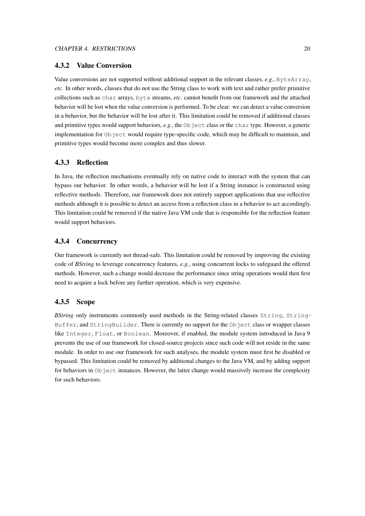#### <span id="page-24-0"></span>4.3.2 Value Conversion

Value conversions are not supported without additional support in the relevant classes, *e.g.*, ByteArray, *etc.* In other words, classes that do not use the String class to work with text and rather prefer primitive collections such as char arrays, byte streams, *etc.* cannot benefit from our framework and the attached behavior will be lost when the value conversion is performed. To be clear: we can detect a value conversion in a behavior, but the behavior will be lost after it. This limitation could be removed if additional classes and primitive types would support behaviors, *e.g.*, the Object class or the char type. However, a generic implementation for Object would require type-specific code, which may be difficult to maintain, and primitive types would become more complex and thus slower.

#### <span id="page-24-1"></span>4.3.3 Reflection

In Java, the reflection mechanisms eventually rely on native code to interact with the system that can bypass our behavior. In other words, a behavior will be lost if a String instance is constructed using reflective methods. Therefore, our framework does not entirely support applications that use reflective methods although it is possible to detect an access from a reflection class in a behavior to act accordingly. This limitation could be removed if the native Java VM code that is responsible for the reflection feature would support behaviors.

#### <span id="page-24-2"></span>4.3.4 Concurrency

Our framework is currently not thread-safe. This limitation could be removed by improving the existing code of *BString* to leverage concurrency features, *e.g.*, using concurrent locks to safeguard the offered methods. However, such a change would decrease the performance since string operations would then first need to acquire a lock before any further operation, which is very expensive.

#### <span id="page-24-3"></span>4.3.5 Scope

*BString* only instruments commonly used methods in the String-related classes String, String-Buffer, and StringBuilder. There is currently no support for the Object class or wrapper classes like Integer, Float, or Boolean. Moreover, if enabled, the module system introduced in Java 9 prevents the use of our framework for closed-source projects since such code will not reside in the same module. In order to use our framework for such analyses, the module system must first be disabled or bypassed. This limitation could be removed by additional changes to the Java VM, and by adding support for behaviors in  $Ob$  ject instances. However, the latter change would massively increase the complexity for such behaviors.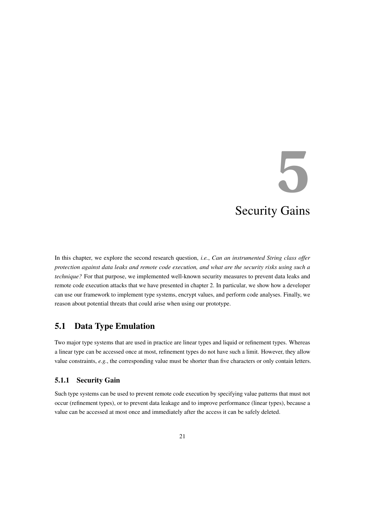# **5** Security Gains

<span id="page-25-0"></span>In this chapter, we explore the second research question, *i.e.*, *Can an instrumented String class offer protection against data leaks and remote code execution, and what are the security risks using such a technique?* For that purpose, we implemented well-known security measures to prevent data leaks and remote code execution attacks that we have presented in [chapter 2.](#page-7-0) In particular, we show how a developer can use our framework to implement type systems, encrypt values, and perform code analyses. Finally, we reason about potential threats that could arise when using our prototype.

#### <span id="page-25-1"></span>5.1 Data Type Emulation

Two major type systems that are used in practice are linear types and liquid or refinement types. Whereas a linear type can be accessed once at most, refinement types do not have such a limit. However, they allow value constraints, *e.g.*, the corresponding value must be shorter than five characters or only contain letters.

#### <span id="page-25-2"></span>5.1.1 Security Gain

Such type systems can be used to prevent remote code execution by specifying value patterns that must not occur (refinement types), or to prevent data leakage and to improve performance (linear types), because a value can be accessed at most once and immediately after the access it can be safely deleted.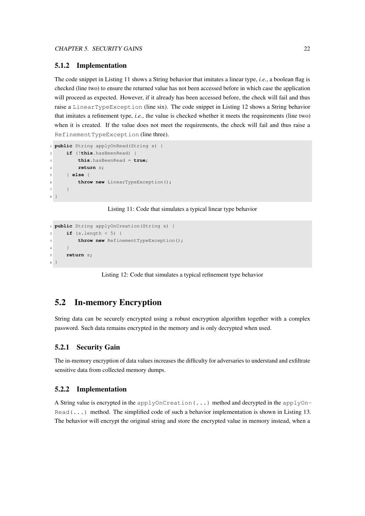#### <span id="page-26-0"></span>5.1.2 Implementation

The code snippet in [Listing 11](#page-26-4) shows a String behavior that imitates a linear type, *i.e.*, a boolean flag is checked (line two) to ensure the returned value has not been accessed before in which case the application will proceed as expected. However, if it already has been accessed before, the check will fail and thus raise a LinearTypeException (line six). The code snippet in [Listing 12](#page-26-5) shows a String behavior that imitates a refinement type, *i.e.*, the value is checked whether it meets the requirements (line two) when it is created. If the value does not meet the requirements, the check will fail and thus raise a RefinementTypeException (line three).

```
1 public String applyOnRead(String s) {
2 if (!this.hasBeenRead) {
3 this.hasBeenRead = true;
4 return s;
     5 } else {
        throw new LinearTypeException();
7 }
8 }
```
Listing 11: Code that simulates a typical linear type behavior

```
1 public String applyOnCreation(String s) {
2 if (s.length < 5) {
3 throw new RefinementTypeException();
     \rightarrow5 return s;
6 }
```
Listing 12: Code that simulates a typical refinement type behavior

#### <span id="page-26-1"></span>5.2 In-memory Encryption

String data can be securely encrypted using a robust encryption algorithm together with a complex password. Such data remains encrypted in the memory and is only decrypted when used.

#### <span id="page-26-2"></span>5.2.1 Security Gain

The in-memory encryption of data values increases the difficulty for adversaries to understand and exfiltrate sensitive data from collected memory dumps.

#### <span id="page-26-3"></span>5.2.2 Implementation

A String value is encrypted in the applyOnCreation(...) method and decrypted in the applyOn- $Read(\ldots)$  method. The simplified code of such a behavior implementation is shown in [Listing 13.](#page-27-3) The behavior will encrypt the original string and store the encrypted value in memory instead, when a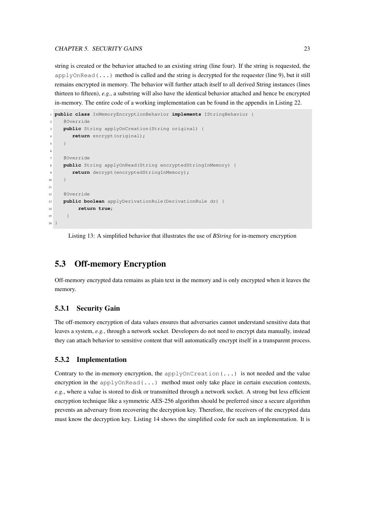#### CHAPTER 5. SECURITY GAINS 23

string is created or the behavior attached to an existing string (line four). If the string is requested, the  $applyOnRead(...)$  method is called and the string is decrypted for the requester (line 9), but it still remains encrypted in memory. The behavior will further attach itself to all derived String instances (lines thirteen to fifteen), *e.g.*, a substring will also have the identical behavior attached and hence be encrypted in-memory. The entire code of a working implementation can be found in the appendix in [Listing 22.](#page-47-2)

```
1 public class InMemoryEncryptionBehavior implements IStringBehavior {
2 @Override
    3 public String applyOnCreation(String original) {
       return encrypt (original);
5 }
6
    @Override
8 public String applyOnRead(String encryptedStringInMemory) {
9 return decrypt(encryptedStringInMemory);
10 \t311
12 @Override
13 public boolean applyDerivationRule(DerivationRule dr) {
14 return true;
15 }
16 }
```
Listing 13: A simplified behavior that illustrates the use of *BString* for in-memory encryption

#### <span id="page-27-0"></span>5.3 Off-memory Encryption

Off-memory encrypted data remains as plain text in the memory and is only encrypted when it leaves the memory.

#### <span id="page-27-1"></span>5.3.1 Security Gain

The off-memory encryption of data values ensures that adversaries cannot understand sensitive data that leaves a system, *e.g.*, through a network socket. Developers do not need to encrypt data manually, instead they can attach behavior to sensitive content that will automatically encrypt itself in a transparent process.

#### <span id="page-27-2"></span>5.3.2 Implementation

Contrary to the in-memory encryption, the applyOnCreation $(\ldots)$  is not needed and the value encryption in the applyOnRead $(\ldots)$  method must only take place in certain execution contexts, *e.g.*, where a value is stored to disk or transmitted through a network socket. A strong but less efficient encryption technique like a symmetric AES-256 algorithm should be preferred since a secure algorithm prevents an adversary from recovering the decryption key. Therefore, the receivers of the encrypted data must know the decryption key. [Listing 14](#page-28-2) shows the simplified code for such an implementation. It is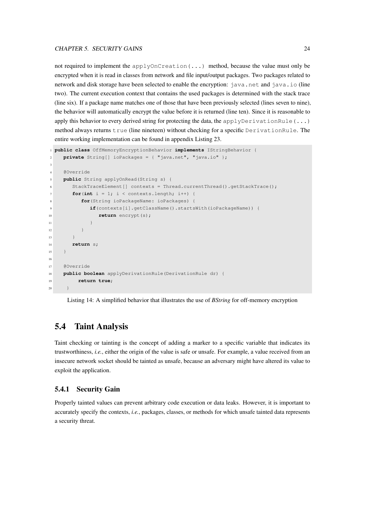#### CHAPTER 5. SECURITY GAINS 24

not required to implement the applyOnCreation(...) method, because the value must only be encrypted when it is read in classes from network and file input/output packages. Two packages related to network and disk storage have been selected to enable the encryption: java.net and java.io (line two). The current execution context that contains the used packages is determined with the stack trace (line six). If a package name matches one of those that have been previously selected (lines seven to nine), the behavior will automatically encrypt the value before it is returned (line ten). Since it is reasonable to apply this behavior to every derived string for protecting the data, the applyDerivationRule $(\ldots)$ method always returns true (line nineteen) without checking for a specific DerivationRule. The entire working implementation can be found in appendix [Listing 23.](#page-50-1)

```
1 public class OffMemoryEncryptionBehavior implements IStringBehavior {
2 private String[] ioPackages = { "java.net", "java.io" };
3
    4 @Override
5 public String applyOnRead(String s) {
6 StackTraceElement[] contexts = Thread.currentThread().getStackTrace();
\mathbf{for}(\mathbf{int} i = 1; i < \text{context} s.length; i++)8 for(String ioPackageName: ioPackages) {
9 if(contexts[i].getClassName().startsWith(ioPackageName)) {
10 return encrypt(s);
\begin{array}{ccc} 11 & & & \end{array}12 }
13 }
14 return s;
15 }
16
17 @Override
18 public boolean applyDerivationRule(DerivationRule dr) {
19 return true;
20 }
```
Listing 14: A simplified behavior that illustrates the use of *BString* for off-memory encryption

#### <span id="page-28-0"></span>5.4 Taint Analysis

Taint checking or tainting is the concept of adding a marker to a specific variable that indicates its trustworthiness, *i.e.*, either the origin of the value is safe or unsafe. For example, a value received from an insecure network socket should be tainted as unsafe, because an adversary might have altered its value to exploit the application.

#### <span id="page-28-1"></span>5.4.1 Security Gain

Properly tainted values can prevent arbitrary code execution or data leaks. However, it is important to accurately specify the contexts, *i.e.*, packages, classes, or methods for which unsafe tainted data represents a security threat.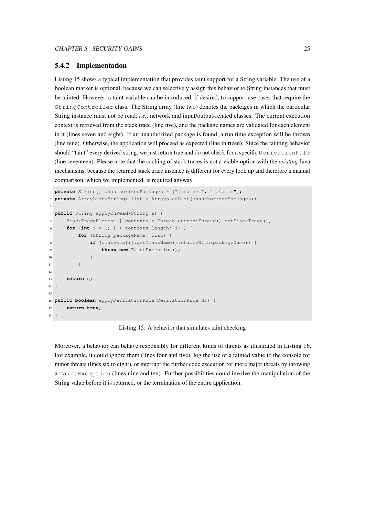#### <span id="page-29-0"></span>5.4.2 Implementation

[Listing 15](#page-29-1) shows a typical implementation that provides taint support for a String variable. The use of a boolean marker is optional, because we can selectively assign this behavior to String instances that must be tainted. However, a taint variable can be introduced, if desired, to support use cases that require the StringController class. The String array (line two) denotes the packages in which the particular String instance must not be read, *i.e.*, network and input/output-related classes. The current execution context is retrieved from the stack trace (line five), and the package names are validated for each element in it (lines seven and eight). If an unauthorized package is found, a run time exception will be thrown (line nine). Otherwise, the application will proceed as expected (line thirteen). Since the tainting behavior should "taint" every derived string, we just return true and do not check for a specific DerivationRule (line seventeen). Please note that the caching of stack traces is not a viable option with the *existing* Java mechanisms, because the returned stack trace instance is different for every look up and therefore a manual comparison, which we implemented, is required anyway.

```
1 private String[] unauthorizedPackages = {"java.net", "java.io"};
2 private ArrayList<String> list = Arrays.asList(unauthorizedPackages);
3
4 public String applyOnRead(String s) {
5 StackTraceElement[] contexts = Thread.currentThread().getStackTrace();
6 for (int i = 1; i < contexts.length; i++) {
7 for (String packageName: list) {
8 if (contexts[i].getClassName().startsWith(packageName)) {
9 throw new TaintException();
10 }
\overline{11} }
12 }
13 return s;
14 }
15
16 public boolean applyDerivationRule(DerivationRule dr) {
17 return true;
18 }
```
Listing 15: A behavior that simulates taint checking

Moreover, a behavior can behave responsibly for different kinds of threats as illustrated in [Listing 16.](#page-30-3) For example, it could ignore them (lines four and five), log the use of a tainted value to the console for minor threats (lines six to eight), or interrupt the further code execution for more major threats by throwing a TaintException (lines nine and ten). Further possibilities could involve the manipulation of the String value before it is returned, or the termination of the entire application.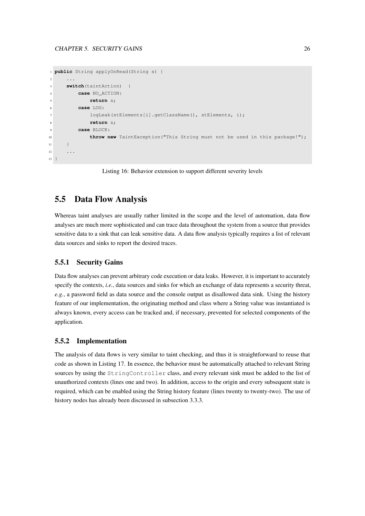```
1 public String applyOnRead(String s) {
2 \cdots3 switch(taintAction) {
4 case NO_ACTION:
5 return s;
        6 case LOG:
           logLeak(stElements[i].getClassName(), stElements, i);
8 return s;
9 case BLOCK:
10 throw new TaintException ("This String must not be used in this package!");
11 }
12 ...
13 }
```
Listing 16: Behavior extension to support different severity levels

#### <span id="page-30-0"></span>5.5 Data Flow Analysis

Whereas taint analyses are usually rather limited in the scope and the level of automation, data flow analyses are much more sophisticated and can trace data throughout the system from a source that provides sensitive data to a sink that can leak sensitive data. A data flow analysis typically requires a list of relevant data sources and sinks to report the desired traces.

#### <span id="page-30-1"></span>5.5.1 Security Gains

Data flow analyses can prevent arbitrary code execution or data leaks. However, it is important to accurately specify the contexts, *i.e.*, data sources and sinks for which an exchange of data represents a security threat, *e.g.*, a password field as data source and the console output as disallowed data sink. Using the history feature of our implementation, the originating method and class where a String value was instantiated is always known, every access can be tracked and, if necessary, prevented for selected components of the application.

#### <span id="page-30-2"></span>5.5.2 Implementation

The analysis of data flows is very similar to taint checking, and thus it is straightforward to reuse that code as shown in [Listing 17.](#page-31-3) In essence, the behavior must be automatically attached to relevant String sources by using the StringController class, and every relevant sink must be added to the list of unauthorized contexts (lines one and two). In addition, access to the origin and every subsequent state is required, which can be enabled using the String history feature (lines twenty to twenty-two). The use of history nodes has already been discussed in [subsection 3.3.3.](#page-16-0)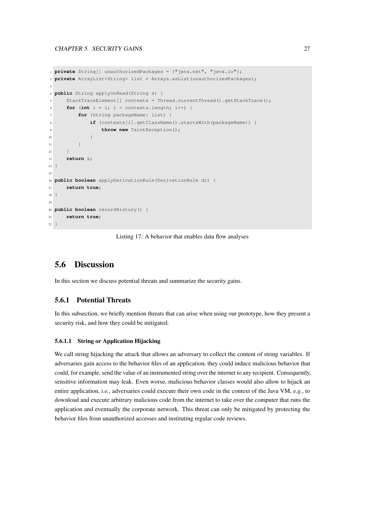```
1 private String[] unauthorizedPackages = {"java.net", "java.io"};
2 private ArrayList<String> list = Arrays.asList(unauthorizedPackages);
 3
4 public String applyOnRead(String s) {
5 StackTraceElement[] contexts = Thread.currentThread().getStackTrace();
      for (int i = 1; i < contexts.length; i++) {
           for (String packageName: list) {
8 if (contexts[i].getClassName().startsWith(packageName)) {
9 throw new TaintException();
10 }
\begin{tabular}{c} 11 \\ \end{tabular} \begin{tabular}{c} \includegraphics[width=0.35\textwidth]{figs/1000}} \end{tabular}12 }
13 return s;
14 }
15
16 public boolean applyDerivationRule(DerivationRule dr) {
17 return true;
18 }
19
20 public boolean recordHistory() {
21 return true;
22 }
```
Listing 17: A behavior that enables data flow analyses

#### <span id="page-31-0"></span>5.6 Discussion

In this section we discuss potential threats and summarize the security gains.

#### <span id="page-31-1"></span>5.6.1 Potential Threats

In this subsection, we briefly mention threats that can arise when using our prototype, how they present a security risk, and how they could be mitigated.

#### <span id="page-31-2"></span>5.6.1.1 String or Application Hijacking

We call string hijacking the attack that allows an adversary to collect the content of string variables. If adversaries gain access to the behavior files of an application, they could induce malicious behavior that could, for example, send the value of an instrumented string over the internet to any recipient. Consequently, sensitive information may leak. Even worse, malicious behavior classes would also allow to hijack an entire application, *i.e.*, adversaries could execute their own code in the context of the Java VM, *e.g.*, to download and execute arbitrary malicious code from the internet to take over the computer that runs the application and eventually the corporate network. This threat can only be mitigated by protecting the behavior files from unauthorized accesses and instituting regular code reviews.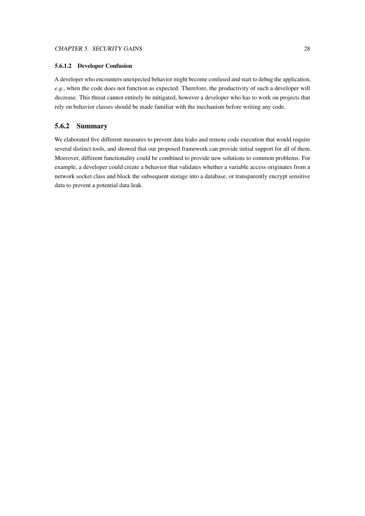#### <span id="page-32-0"></span>5.6.1.2 Developer Confusion

A developer who encounters unexpected behavior might become confused and start to debug the application, *e.g.*, when the code does not function as expected. Therefore, the productivity of such a developer will decrease. This threat cannot entirely be mitigated, however a developer who has to work on projects that rely on behavior classes should be made familiar with the mechanism before writing any code.

#### <span id="page-32-1"></span>5.6.2 Summary

We elaborated five different measures to prevent data leaks and remote code execution that would require several distinct tools, and showed that our proposed framework can provide initial support for all of them. Moreover, different functionality could be combined to provide new solutions to common problems. For example, a developer could create a behavior that validates whether a variable access originates from a network socket class and block the subsequent storage into a database, or transparently encrypt sensitive data to prevent a potential data leak.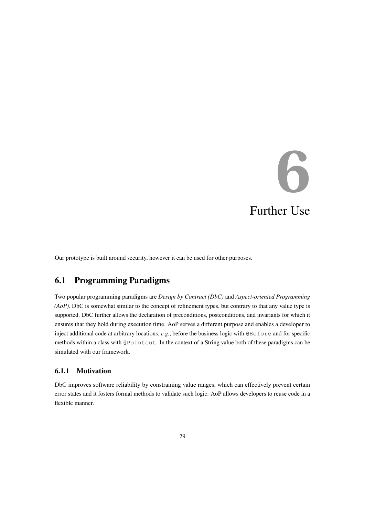# **6** Further Use

<span id="page-33-0"></span>Our prototype is built around security, however it can be used for other purposes.

#### <span id="page-33-1"></span>6.1 Programming Paradigms

Two popular programming paradigms are *Design by Contract (DbC)* and *Aspect-oriented Programming (AoP)*. DbC is somewhat similar to the concept of refinement types, but contrary to that any value type is supported. DbC further allows the declaration of preconditions, postconditions, and invariants for which it ensures that they hold during execution time. AoP serves a different purpose and enables a developer to inject additional code at arbitrary locations, *e.g.*, before the business logic with @Before and for specific methods within a class with @Pointcut. In the context of a String value both of these paradigms can be simulated with our framework.

#### <span id="page-33-2"></span>6.1.1 Motivation

DbC improves software reliability by constraining value ranges, which can effectively prevent certain error states and it fosters formal methods to validate such logic. AoP allows developers to reuse code in a flexible manner.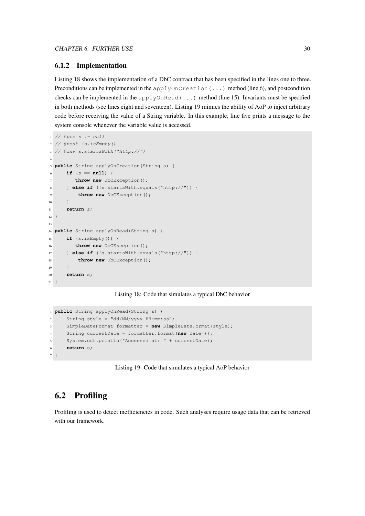#### <span id="page-34-0"></span>6.1.2 Implementation

[Listing 18](#page-34-2) shows the implementation of a DbC contract that has been specified in the lines one to three. Preconditions can be implemented in the applyOnCreation(...) method (line 6), and postcondition checks can be implemented in the applyOnRead( $\dots$ ) method (line 15). Invariants must be specified in both methods (see lines eight and seventeen). [Listing 19](#page-34-3) mimics the ability of AoP to inject arbitrary code before receiving the value of a String variable. In this example, line five prints a message to the system console whenever the variable value is accessed.

```
1 // @pre s != null
2 // @post !s.isEmpty()
3 // @inv s.startsWith("http://")
4
5 public String applyOnCreation(String s) {
    6 if (s == null) {
       throw new DbCException();
     8 } else if (!s.startsWith.equals("http://")) {
9 throw new DbCException();
10 }
11 return s;
12 }
13
14 public String applyOnRead(String s) {
15 if (s.isEmpty()) {
16 throw new DbCException();
17 } else if (!s.startsWith.equals("http://")) {
18 throw new DbCException();
19 }
20 return s;
21 }
```
Listing 18: Code that simulates a typical DbC behavior

```
1 public String applyOnRead(String s) {
2 String style = "dd/MM/yyyy HH:mm:ss";
3 SimpleDateFormat formatter = new SimpleDateFormat(style);
4 String currentDate = formatter.format(new Date());
5 System.out.println("Accessed at: " + currentDate);
6 return s;
7 }
```
Listing 19: Code that simulates a typical AoP behavior

#### <span id="page-34-1"></span>6.2 Profiling

Profiling is used to detect inefficiencies in code. Such analyses require usage data that can be retrieved with our framework.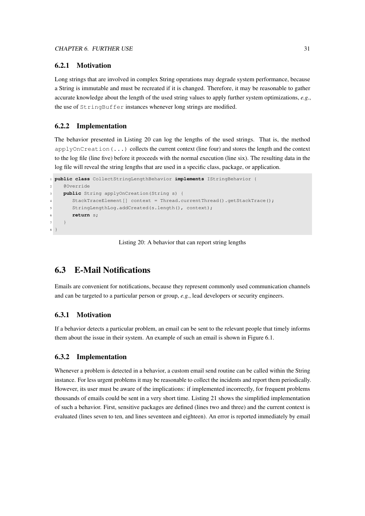#### <span id="page-35-0"></span>6.2.1 Motivation

Long strings that are involved in complex String operations may degrade system performance, because a String is immutable and must be recreated if it is changed. Therefore, it may be reasonable to gather accurate knowledge about the length of the used string values to apply further system optimizations, *e.g.*, the use of StringBuffer instances whenever long strings are modified.

#### <span id="page-35-1"></span>6.2.2 Implementation

The behavior presented in [Listing 20](#page-35-5) can log the lengths of the used strings. That is, the method  $applyOnCreating(...)$  collects the current context (line four) and stores the length and the context to the log file (line five) before it proceeds with the normal execution (line six). The resulting data in the log file will reveal the string lengths that are used in a specific class, package, or application.

```
1 public class CollectStringLengthBehavior implements IStringBehavior {
2 @Override
    3 public String applyOnCreation(String s) {
       4 StackTraceElement[] context = Thread.currentThread().getStackTrace();
       5 StringLengthLog.addCreated(s.length(), context);
6 return s;
7 }
8 }
```
Listing 20: A behavior that can report string lengths

#### <span id="page-35-2"></span>6.3 E-Mail Notifications

Emails are convenient for notifications, because they represent commonly used communication channels and can be targeted to a particular person or group, *e.g.*, lead developers or security engineers.

#### <span id="page-35-3"></span>6.3.1 Motivation

If a behavior detects a particular problem, an email can be sent to the relevant people that timely informs them about the issue in their system. An example of such an email is shown in [Figure 6.1.](#page-36-0)

#### <span id="page-35-4"></span>6.3.2 Implementation

Whenever a problem is detected in a behavior, a custom email send routine can be called within the String instance. For less urgent problems it may be reasonable to collect the incidents and report them periodically. However, its user must be aware of the implications: if implemented incorrectly, for frequent problems thousands of emails could be sent in a very short time. [Listing 21](#page-36-1) shows the simplified implementation of such a behavior. First, sensitive packages are defined (lines two and three) and the current context is evaluated (lines seven to ten, and lines seventeen and eighteen). An error is reported immediately by email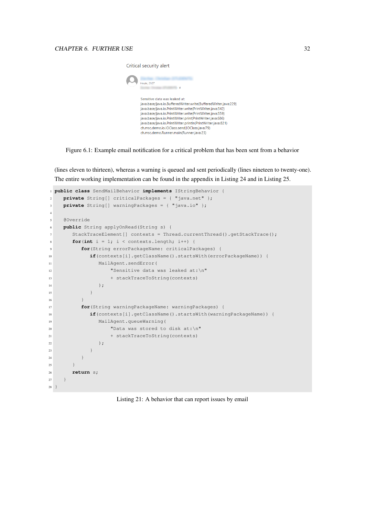

Figure 6.1: Example email notification for a critical problem that has been sent from a behavior

<span id="page-36-0"></span>(lines eleven to thirteen), whereas a warning is queued and sent periodically (lines nineteen to twenty-one). The entire working implementation can be found in the appendix in [Listing 24](#page-52-1) and in [Listing 25.](#page-54-0)

```
1 public class SendMailBehavior implements IStringBehavior {
2 private String[] criticalPackages = { "java.net" };
    private String[] warningPackages = { "java.io" };
4
5 @Override
6 public String applyOnRead(String s) {
7 StackTraceElement[] contexts = Thread.currentThread().getStackTrace();
8 for(int i = 1; i < contexts.length; i++) {
9 for(String errorPackageName: criticalPackages) {
10 if(contexts[i].getClassName().startsWith(errorPackageName)) {
11 MailAgent.sendError(
12 "Sensitive data was leaked at:\n"
13 + stackTraceToString(contexts)
14 ); \qquad \qquad );
15 }
16 }
17 for(String warningPackageName: warningPackages) {
18 if(contexts[i].getClassName().startsWith(warningPackageName)) {
19 MailAgent.queueWarning(
20 "Data was stored to disk at:\n"
21 + stackTraceToString(contexts)
22 );
23 }
\begin{tabular}{c} 24 \\ \hline \end{tabular}25 }
26 return s;
27 }
28 }
```
Listing 21: A behavior that can report issues by email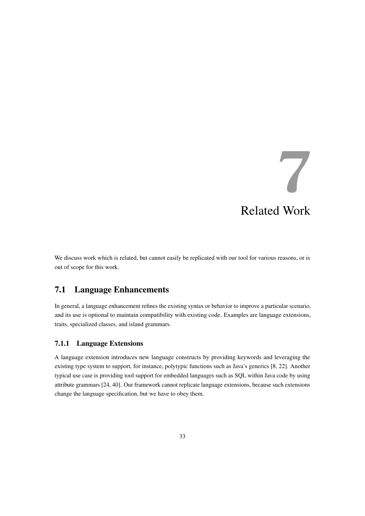## **7** Related Work

<span id="page-37-0"></span>We discuss work which is related, but cannot easily be replicated with our tool for various reasons, or is out of scope for this work.

#### <span id="page-37-1"></span>7.1 Language Enhancements

In general, a language enhancement refines the existing syntax or behavior to improve a particular scenario, and its use is optional to maintain compatibility with existing code. Examples are language extensions, traits, specialized classes, and island grammars.

#### <span id="page-37-2"></span>7.1.1 Language Extensions

A language extension introduces new language constructs by providing keywords and leveraging the existing type system to support, for instance, polytypic functions such as Java's generics [\[8,](#page-43-8) [22\]](#page-44-8). Another typical use case is providing tool support for embedded languages such as SQL within Java code by using attribute grammars [\[24,](#page-44-9) [40\]](#page-45-8). Our framework cannot replicate language extensions, because such extensions change the language specification, but we have to obey them.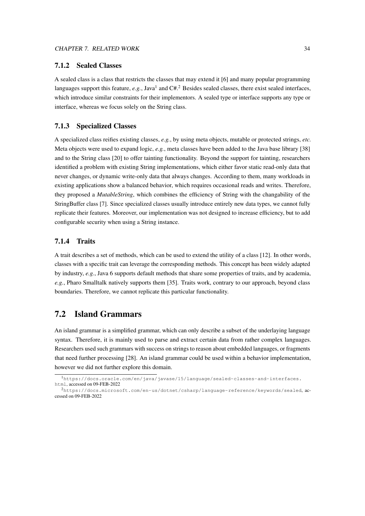#### <span id="page-38-0"></span>7.1.2 Sealed Classes

A sealed class is a class that restricts the classes that may extend it [\[6\]](#page-43-9) and many popular programming languages support this feature, e.g., Java<sup>[1](#page-38-4)</sup> and C#.<sup>[2](#page-38-5)</sup> Besides sealed classes, there exist sealed interfaces, which introduce similar constraints for their implementors. A sealed type or interface supports any type or interface, whereas we focus solely on the String class.

#### <span id="page-38-1"></span>7.1.3 Specialized Classes

A specialized class reifies existing classes, *e.g.*, by using meta objects, mutable or protected strings, *etc.* Meta objects were used to expand logic, *e.g.*, meta classes have been added to the Java base library [\[38\]](#page-45-9) and to the String class [\[20\]](#page-44-10) to offer tainting functionality. Beyond the support for tainting, researchers identified a problem with existing String implementations, which either favor static read-only data that never changes, or dynamic write-only data that always changes. According to them, many workloads in existing applications show a balanced behavior, which requires occasional reads and writes. Therefore, they proposed a *MutableString*, which combines the efficiency of String with the changability of the StringBuffer class [\[7\]](#page-43-10). Since specialized classes usually introduce entirely new data types, we cannot fully replicate their features. Moreover, our implementation was not designed to increase efficiency, but to add configurable security when using a String instance.

#### <span id="page-38-2"></span>7.1.4 Traits

A trait describes a set of methods, which can be used to extend the utility of a class [\[12\]](#page-43-11). In other words, classes with a specific trait can leverage the corresponding methods. This concept has been widely adapted by industry, *e.g.*, Java 6 supports default methods that share some properties of traits, and by academia, *e.g.*, Pharo Smalltalk natively supports them [\[35\]](#page-45-10). Traits work, contrary to our approach, beyond class boundaries. Therefore, we cannot replicate this particular functionality.

#### <span id="page-38-3"></span>7.2 Island Grammars

An island grammar is a simplified grammar, which can only describe a subset of the underlaying language syntax. Therefore, it is mainly used to parse and extract certain data from rather complex languages. Researchers used such grammars with success on strings to reason about embedded languages, or fragments that need further processing [\[28\]](#page-45-11). An island grammar could be used within a behavior implementation, however we did not further explore this domain.

<span id="page-38-4"></span><sup>1</sup>[https://docs.oracle.com/en/java/javase/15/language/sealed-classes-and-interfaces.](https://docs.oracle.com/en/java/javase/15/language/sealed-classes-and-interfaces.html) [html](https://docs.oracle.com/en/java/javase/15/language/sealed-classes-and-interfaces.html), accessed on 09-FEB-2022

<span id="page-38-5"></span><sup>2</sup><https://docs.microsoft.com/en-us/dotnet/csharp/language-reference/keywords/sealed>, accessed on 09-FEB-2022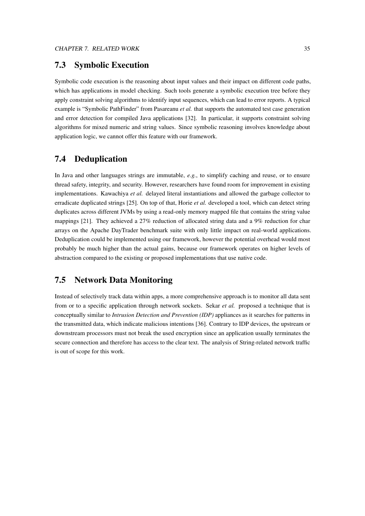#### <span id="page-39-0"></span>7.3 Symbolic Execution

Symbolic code execution is the reasoning about input values and their impact on different code paths, which has applications in model checking. Such tools generate a symbolic execution tree before they apply constraint solving algorithms to identify input sequences, which can lead to error reports. A typical example is "Symbolic PathFinder" from Pasareanu *et al.* that supports the automated test case generation and error detection for compiled Java applications [\[32\]](#page-45-12). In particular, it supports constraint solving algorithms for mixed numeric and string values. Since symbolic reasoning involves knowledge about application logic, we cannot offer this feature with our framework.

#### <span id="page-39-1"></span>7.4 Deduplication

In Java and other languages strings are immutable, *e.g.*, to simplify caching and reuse, or to ensure thread safety, integrity, and security. However, researchers have found room for improvement in existing implementations. Kawachiya *et al.* delayed literal instantiations and allowed the garbage collector to erradicate duplicated strings [\[25\]](#page-44-11). On top of that, Horie *et al.* developed a tool, which can detect string duplicates across different JVMs by using a read-only memory mapped file that contains the string value mappings [\[21\]](#page-44-12). They achieved a 27% reduction of allocated string data and a 9% reduction for char arrays on the Apache DayTrader benchmark suite with only little impact on real-world applications. Deduplication could be implemented using our framework, however the potential overhead would most probably be much higher than the actual gains, because our framework operates on higher levels of abstraction compared to the existing or proposed implementations that use native code.

#### <span id="page-39-2"></span>7.5 Network Data Monitoring

Instead of selectively track data within apps, a more comprehensive approach is to monitor all data sent from or to a specific application through network sockets. Sekar *et al.* proposed a technique that is conceptually similar to *Intrusion Detection and Prevention (IDP)* appliances as it searches for patterns in the transmitted data, which indicate malicious intentions [\[36\]](#page-45-13). Contrary to IDP devices, the upstream or downstream processors must not break the used encryption since an application usually terminates the secure connection and therefore has access to the clear text. The analysis of String-related network traffic is out of scope for this work.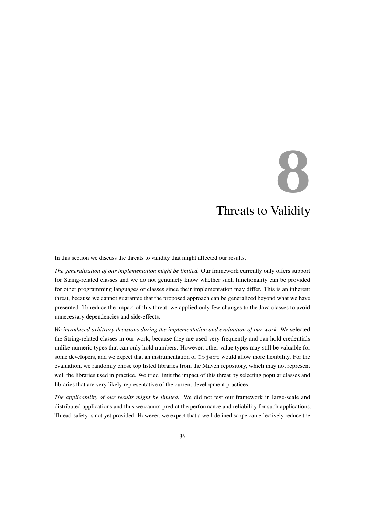# <span id="page-40-0"></span>**8** Threats to Validity

In this section we discuss the threats to validity that might affected our results.

*The generalization of our implementation might be limited.* Our framework currently only offers support for String-related classes and we do not genuinely know whether such functionality can be provided for other programming languages or classes since their implementation may differ. This is an inherent threat, because we cannot guarantee that the proposed approach can be generalized beyond what we have presented. To reduce the impact of this threat, we applied only few changes to the Java classes to avoid unnecessary dependencies and side-effects.

*We introduced arbitrary decisions during the implementation and evaluation of our work.* We selected the String-related classes in our work, because they are used very frequently and can hold credentials unlike numeric types that can only hold numbers. However, other value types may still be valuable for some developers, and we expect that an instrumentation of  $Ob$  ject would allow more flexibility. For the evaluation, we randomly chose top listed libraries from the Maven repository, which may not represent well the libraries used in practice. We tried limit the impact of this threat by selecting popular classes and libraries that are very likely representative of the current development practices.

*The applicability of our results might be limited.* We did not test our framework in large-scale and distributed applications and thus we cannot predict the performance and reliability for such applications. Thread-safety is not yet provided. However, we expect that a well-defined scope can effectively reduce the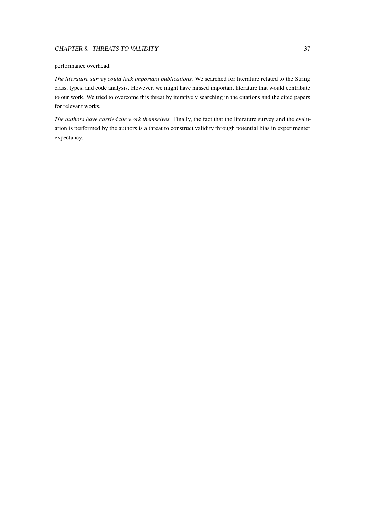#### CHAPTER 8. THREATS TO VALIDITY 37

#### performance overhead.

*The literature survey could lack important publications.* We searched for literature related to the String class, types, and code analysis. However, we might have missed important literature that would contribute to our work. We tried to overcome this threat by iteratively searching in the citations and the cited papers for relevant works.

*The authors have carried the work themselves.* Finally, the fact that the literature survey and the evaluation is performed by the authors is a threat to construct validity through potential bias in experimenter expectancy.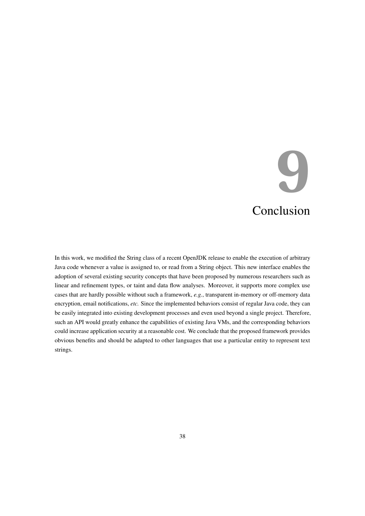## **9** Conclusion

<span id="page-42-0"></span>In this work, we modified the String class of a recent OpenJDK release to enable the execution of arbitrary Java code whenever a value is assigned to, or read from a String object. This new interface enables the adoption of several existing security concepts that have been proposed by numerous researchers such as linear and refinement types, or taint and data flow analyses. Moreover, it supports more complex use cases that are hardly possible without such a framework, *e.g.*, transparent in-memory or off-memory data encryption, email notifications, *etc.* Since the implemented behaviors consist of regular Java code, they can be easily integrated into existing development processes and even used beyond a single project. Therefore, such an API would greatly enhance the capabilities of existing Java VMs, and the corresponding behaviors could increase application security at a reasonable cost. We conclude that the proposed framework provides obvious benefits and should be adapted to other languages that use a particular entity to represent text strings.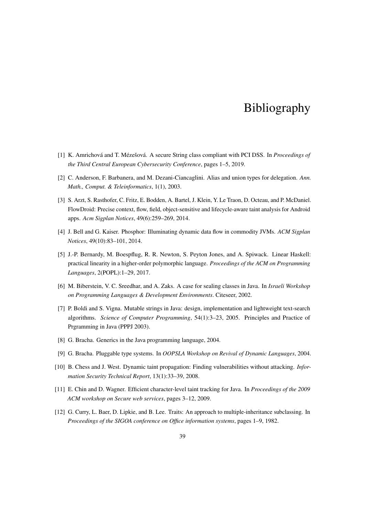### Bibliography

- <span id="page-43-3"></span>[1] K. Amrichová and T. Mézešová. A secure String class compliant with PCI DSS. In *Proceedings of the Third Central European Cybersecurity Conference*, pages 1–5, 2019.
- <span id="page-43-0"></span>[2] C. Anderson, F. Barbanera, and M. Dezani-Ciancaglini. Alias and union types for delegation. *Ann. Math., Comput. & Teleinformatics*, 1(1), 2003.
- <span id="page-43-7"></span>[3] S. Arzt, S. Rasthofer, C. Fritz, E. Bodden, A. Bartel, J. Klein, Y. Le Traon, D. Octeau, and P. McDaniel. FlowDroid: Precise context, flow, field, object-sensitive and lifecycle-aware taint analysis for Android apps. *Acm Sigplan Notices*, 49(6):259–269, 2014.
- <span id="page-43-4"></span>[4] J. Bell and G. Kaiser. Phosphor: Illuminating dynamic data flow in commodity JVMs. *ACM Sigplan Notices*, 49(10):83–101, 2014.
- <span id="page-43-1"></span>[5] J.-P. Bernardy, M. Boespflug, R. R. Newton, S. Peyton Jones, and A. Spiwack. Linear Haskell: practical linearity in a higher-order polymorphic language. *Proceedings of the ACM on Programming Languages*, 2(POPL):1–29, 2017.
- <span id="page-43-9"></span>[6] M. Biberstein, V. C. Sreedhar, and A. Zaks. A case for sealing classes in Java. In *Israeli Workshop on Programming Languages & Development Environments*. Citeseer, 2002.
- <span id="page-43-10"></span>[7] P. Boldi and S. Vigna. Mutable strings in Java: design, implementation and lightweight text-search algorithms. *Science of Computer Programming*, 54(1):3–23, 2005. Principles and Practice of Prgramming in Java (PPPJ 2003).
- <span id="page-43-8"></span>[8] G. Bracha. Generics in the Java programming language, 2004.
- <span id="page-43-2"></span>[9] G. Bracha. Pluggable type systems. In *OOPSLA Workshop on Revival of Dynamic Languages*, 2004.
- <span id="page-43-5"></span>[10] B. Chess and J. West. Dynamic taint propagation: Finding vulnerabilities without attacking. *Information Security Technical Report*, 13(1):33–39, 2008.
- <span id="page-43-6"></span>[11] E. Chin and D. Wagner. Efficient character-level taint tracking for Java. In *Proceedings of the 2009 ACM workshop on Secure web services*, pages 3–12, 2009.
- <span id="page-43-11"></span>[12] G. Curry, L. Baer, D. Lipkie, and B. Lee. Traits: An approach to multiple-inheritance subclassing. In *Proceedings of the SIGOA conference on Office information systems*, pages 1–9, 1982.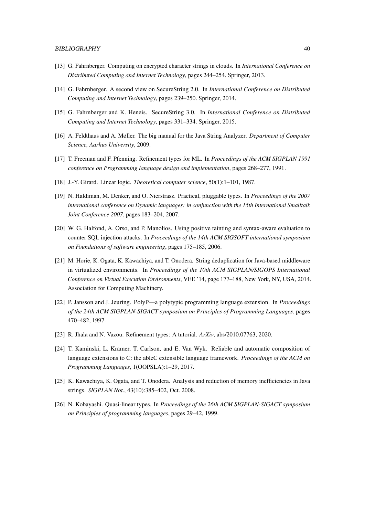- <span id="page-44-5"></span>[13] G. Fahrnberger. Computing on encrypted character strings in clouds. In *International Conference on Distributed Computing and Internet Technology*, pages 244–254. Springer, 2013.
- [14] G. Fahrnberger. A second view on SecureString 2.0. In *International Conference on Distributed Computing and Internet Technology*, pages 239–250. Springer, 2014.
- <span id="page-44-6"></span>[15] G. Fahrnberger and K. Heneis. SecureString 3.0. In *International Conference on Distributed Computing and Internet Technology*, pages 331–334. Springer, 2015.
- <span id="page-44-7"></span>[16] A. Feldthaus and A. Møller. The big manual for the Java String Analyzer. *Department of Computer Science, Aarhus University*, 2009.
- <span id="page-44-2"></span>[17] T. Freeman and F. Pfenning. Refinement types for ML. In *Proceedings of the ACM SIGPLAN 1991 conference on Programming language design and implementation*, pages 268–277, 1991.
- <span id="page-44-0"></span>[18] J.-Y. Girard. Linear logic. *Theoretical computer science*, 50(1):1–101, 1987.
- <span id="page-44-4"></span>[19] N. Haldiman, M. Denker, and O. Nierstrasz. Practical, pluggable types. In *Proceedings of the 2007 international conference on Dynamic languages: in conjunction with the 15th International Smalltalk Joint Conference 2007*, pages 183–204, 2007.
- <span id="page-44-10"></span>[20] W. G. Halfond, A. Orso, and P. Manolios. Using positive tainting and syntax-aware evaluation to counter SQL injection attacks. In *Proceedings of the 14th ACM SIGSOFT international symposium on Foundations of software engineering*, pages 175–185, 2006.
- <span id="page-44-12"></span>[21] M. Horie, K. Ogata, K. Kawachiya, and T. Onodera. String deduplication for Java-based middleware in virtualized environments. In *Proceedings of the 10th ACM SIGPLAN/SIGOPS International Conference on Virtual Execution Environments*, VEE '14, page 177–188, New York, NY, USA, 2014. Association for Computing Machinery.
- <span id="page-44-8"></span>[22] P. Jansson and J. Jeuring. PolyP—a polytypic programming language extension. In *Proceedings of the 24th ACM SIGPLAN-SIGACT symposium on Principles of Programming Languages*, pages 470–482, 1997.
- <span id="page-44-3"></span>[23] R. Jhala and N. Vazou. Refinement types: A tutorial. *ArXiv*, abs/2010.07763, 2020.
- <span id="page-44-9"></span>[24] T. Kaminski, L. Kramer, T. Carlson, and E. Van Wyk. Reliable and automatic composition of language extensions to C: the ableC extensible language framework. *Proceedings of the ACM on Programming Languages*, 1(OOPSLA):1–29, 2017.
- <span id="page-44-11"></span>[25] K. Kawachiya, K. Ogata, and T. Onodera. Analysis and reduction of memory inefficiencies in Java strings. *SIGPLAN Not.*, 43(10):385–402, Oct. 2008.
- <span id="page-44-1"></span>[26] N. Kobayashi. Quasi-linear types. In *Proceedings of the 26th ACM SIGPLAN-SIGACT symposium on Principles of programming languages*, pages 29–42, 1999.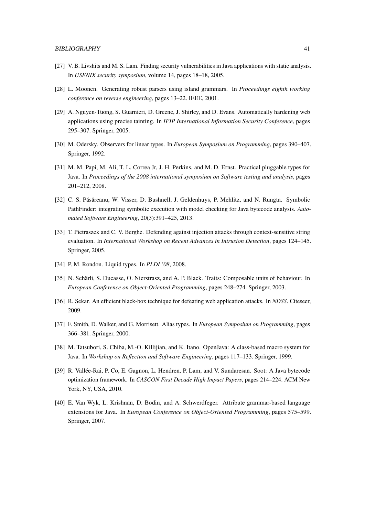- <span id="page-45-6"></span>[27] V. B. Livshits and M. S. Lam. Finding security vulnerabilities in Java applications with static analysis. In *USENIX security symposium*, volume 14, pages 18–18, 2005.
- <span id="page-45-11"></span>[28] L. Moonen. Generating robust parsers using island grammars. In *Proceedings eighth working conference on reverse engineering*, pages 13–22. IEEE, 2001.
- <span id="page-45-4"></span>[29] A. Nguyen-Tuong, S. Guarnieri, D. Greene, J. Shirley, and D. Evans. Automatically hardening web applications using precise tainting. In *IFIP International Information Security Conference*, pages 295–307. Springer, 2005.
- <span id="page-45-0"></span>[30] M. Odersky. Observers for linear types. In *European Symposium on Programming*, pages 390–407. Springer, 1992.
- <span id="page-45-3"></span>[31] M. M. Papi, M. Ali, T. L. Correa Jr, J. H. Perkins, and M. D. Ernst. Practical pluggable types for Java. In *Proceedings of the 2008 international symposium on Software testing and analysis*, pages 201–212, 2008.
- <span id="page-45-12"></span>[32] C. S. Păsăreanu, W. Visser, D. Bushnell, J. Geldenhuys, P. Mehlitz, and N. Rungta. Symbolic PathFinder: integrating symbolic execution with model checking for Java bytecode analysis. *Automated Software Engineering*, 20(3):391–425, 2013.
- <span id="page-45-5"></span>[33] T. Pietraszek and C. V. Berghe. Defending against injection attacks through context-sensitive string evaluation. In *International Workshop on Recent Advances in Intrusion Detection*, pages 124–145. Springer, 2005.
- <span id="page-45-2"></span>[34] P. M. Rondon. Liquid types. In *PLDI '08*, 2008.
- <span id="page-45-10"></span>[35] N. Schärli, S. Ducasse, O. Nierstrasz, and A. P. Black. Traits: Composable units of behaviour. In *European Conference on Object-Oriented Programming*, pages 248–274. Springer, 2003.
- <span id="page-45-13"></span>[36] R. Sekar. An efficient black-box technique for defeating web application attacks. In *NDSS*. Citeseer, 2009.
- <span id="page-45-1"></span>[37] F. Smith, D. Walker, and G. Morrisett. Alias types. In *European Symposium on Programming*, pages 366–381. Springer, 2000.
- <span id="page-45-9"></span>[38] M. Tatsubori, S. Chiba, M.-O. Killijian, and K. Itano. OpenJava: A class-based macro system for Java. In *Workshop on Reflection and Software Engineering*, pages 117–133. Springer, 1999.
- <span id="page-45-7"></span>[39] R. Vallée-Rai, P. Co, E. Gagnon, L. Hendren, P. Lam, and V. Sundaresan. Soot: A Java bytecode optimization framework. In *CASCON First Decade High Impact Papers*, pages 214–224. ACM New York, NY, USA, 2010.
- <span id="page-45-8"></span>[40] E. Van Wyk, L. Krishnan, D. Bodin, and A. Schwerdfeger. Attribute grammar-based language extensions for Java. In *European Conference on Object-Oriented Programming*, pages 575–599. Springer, 2007.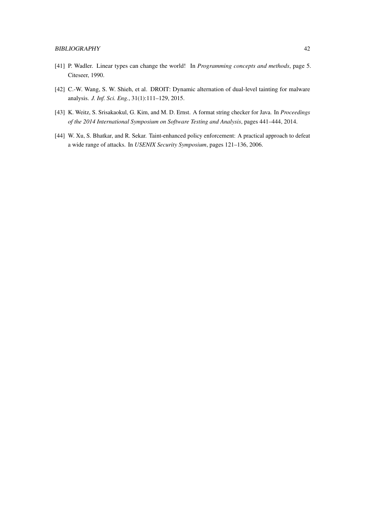- <span id="page-46-0"></span>[41] P. Wadler. Linear types can change the world! In *Programming concepts and methods*, page 5. Citeseer, 1990.
- <span id="page-46-2"></span>[42] C.-W. Wang, S. W. Shieh, et al. DROIT: Dynamic alternation of dual-level tainting for malware analysis. *J. Inf. Sci. Eng.*, 31(1):111–129, 2015.
- <span id="page-46-1"></span>[43] K. Weitz, S. Srisakaokul, G. Kim, and M. D. Ernst. A format string checker for Java. In *Proceedings of the 2014 International Symposium on Software Testing and Analysis*, pages 441–444, 2014.
- <span id="page-46-3"></span>[44] W. Xu, S. Bhatkar, and R. Sekar. Taint-enhanced policy enforcement: A practical approach to defeat a wide range of attacks. In *USENIX Security Symposium*, pages 121–136, 2006.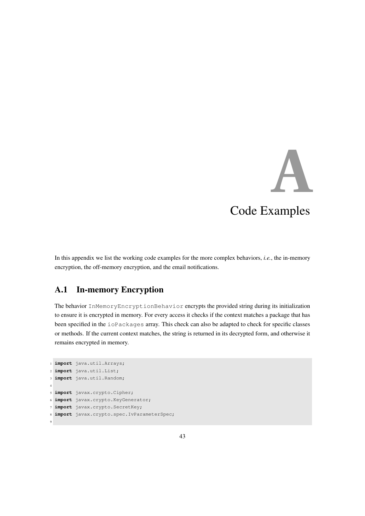# **A**

### Code Examples

<span id="page-47-0"></span>In this appendix we list the working code examples for the more complex behaviors, *i.e.*, the in-memory encryption, the off-memory encryption, and the email notifications.

#### <span id="page-47-1"></span>A.1 In-memory Encryption

The behavior InMemoryEncryptionBehavior encrypts the provided string during its initialization to ensure it is encrypted in memory. For every access it checks if the context matches a package that has been specified in the ioPackages array. This check can also be adapted to check for specific classes or methods. If the current context matches, the string is returned in its decrypted form, and otherwise it remains encrypted in memory.

```
1 import java.util.Arrays;
2 import java.util.List;
3 import java.util.Random;
4
5 import javax.crypto.Cipher;
6 import javax.crypto.KeyGenerator;
7 import javax.crypto.SecretKey;
8 import javax.crypto.spec.IvParameterSpec;
9
```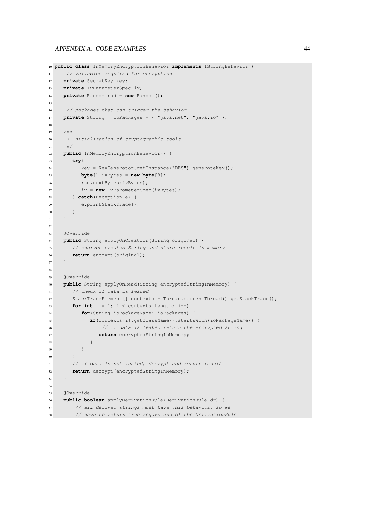```
10 public class InMemoryEncryptionBehavior implements IStringBehavior {
11 // variables required for encryption
12 private SecretKey key;
13 private IvParameterSpec iv;
14 private Random rnd = new Random();
15
16 // packages that can trigger the behavior
17 private String[] ioPackages = { "java.net", "java.io" };
18
19 /**
20 * Initialization of cryptographic tools.
21 \star/22 public InMemoryEncryptionBehavior() {
23 try{
24 key = KeyGenerator.getInstance("DES").generateKey();
25 byte[] ivBytes = new byte[8];
26 rnd.nextBytes(ivBytes);
27 iv = new IvParameterSpec(ivBytes);
28 } catch(Exception e) {
29 e.printStackTrace();
30 }
31 }
32
33 @Override
34 public String applyOnCreation(String original) {
35 // encrypt created String and store result in memory
36 return encrypt(original);
37 }
38
39 @Override
40 public String applyOnRead(String encryptedStringInMemory) {
41 // check if data is leaked
42 StackTraceElement[] contexts = Thread.currentThread().getStackTrace();
43 for(int i = 1; i < contexts.length; i++) {
44 for(String ioPackageName: ioPackages) {
45 if(contexts[i].getClassName().startsWith(ioPackageName)) {
46 // if data is leaked return the encrypted string
47 return encryptedStringInMemory;
48 }
49 }
50 }
51 // if data is not leaked, decrypt and return result
52 return decrypt(encryptedStringInMemory);
53 }
54
55 @Override
56 public boolean applyDerivationRule(DerivationRule dr) {
57 // all derived strings must have this behavior, so we
58 // have to return true regardless of the DerivationRule
```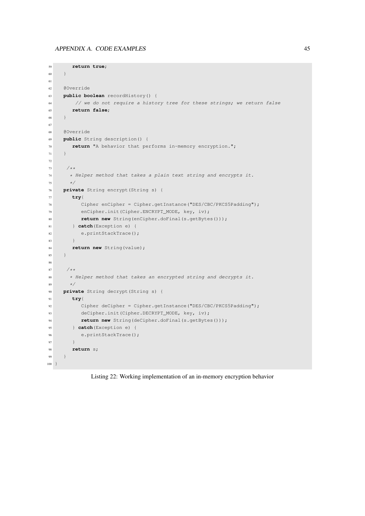```
59 return true;
60 }
61
62 @Override
63 public boolean recordHistory() {
64 // we do not require a history tree for these strings; we return false
65 return false;
66 }
67
68 @Override
69 public String description() {
70 return "A behavior that performs in-memory encryption.";
71 }
72
73 /*74 * Helper method that takes a plain text string and encrypts it.
75 \star/76 private String encrypt(String s) {
77 try{
78 Cipher enCipher = Cipher.getInstance("DES/CBC/PKCS5Padding");
79 enCipher.init(Cipher.ENCRYPT_MODE, key, iv);
80 return new String(enCipher.doFinal(s.getBytes()));
81 } catch(Exception e) {
82 e.printStackTrace();
83 }
84 return new String(value);
85 }
86
87 /*88 * Helper method that takes an encrypted string and decrypts it.
89 \star/90 private String decrypt(String s) {
91 try{
92 Cipher deCipher = Cipher.getInstance("DES/CBC/PKCS5Padding");
93 deCipher.init(Cipher.DECRYPT_MODE, key, iv);
94 return new String(deCipher.doFinal(s.getBytes()));
95 } catch(Exception e) {
96 e.printStackTrace();
97 }
98 return s;
99 }
100 \, }
```
Listing 22: Working implementation of an in-memory encryption behavior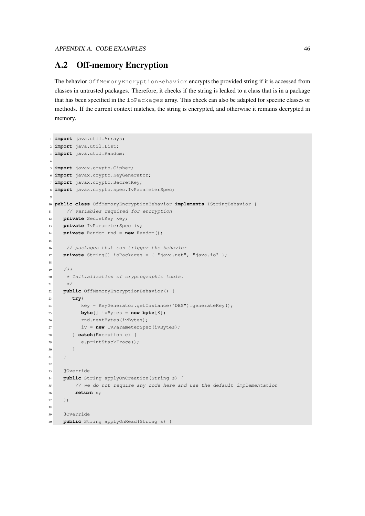#### <span id="page-50-0"></span>A.2 Off-memory Encryption

The behavior OffMemoryEncryptionBehavior encrypts the provided string if it is accessed from classes in untrusted packages. Therefore, it checks if the string is leaked to a class that is in a package that has been specified in the ioPackages array. This check can also be adapted for specific classes or methods. If the current context matches, the string is encrypted, and otherwise it remains decrypted in memory.

```
1 import java.util.Arrays;
2 import java.util.List;
3 import java.util.Random;
 4
5 import javax.crypto.Cipher;
6 import javax.crypto.KeyGenerator;
7 import javax.crypto.SecretKey;
8 import javax.crypto.spec.IvParameterSpec;
 9
10 public class OffMemoryEncryptionBehavior implements IStringBehavior {
11 // variables required for encryption
12 private SecretKey key;
13 private IvParameterSpec iv;
14 private Random rnd = new Random();
15
16 // packages that can trigger the behavior
17 private String[] ioPackages = { "java.net", "java.io" };
18
19 /**
20 * Initialization of cryptographic tools.
21 \star/22 public OffMemoryEncryptionBehavior() {
23 try{
24 key = KeyGenerator.getInstance("DES").generateKey();
25 byte[] ivBytes = new byte[8];
26 rnd.nextBytes(ivBytes);
27 iv = new IvParameterSpec(ivBytes);
28 } catch(Exception e) {
29 e.printStackTrace();
30 }
31 }
32
33 @Override
34 public String applyOnCreation(String s) {
35 // we do not require any code here and use the default implementation
36 return s;
37 };
38
39 @Override
40 public String applyOnRead(String s) {
```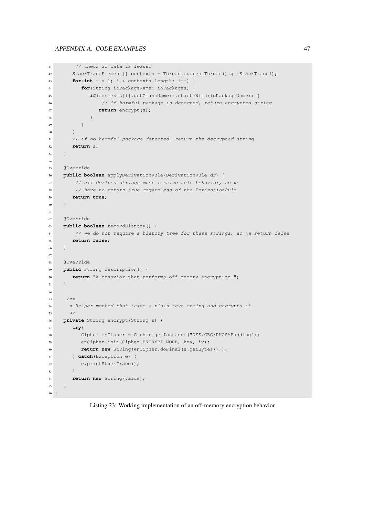```
41 // check if data is leaked
42 StackTraceElement[] contexts = Thread.currentThread().getStackTrace();
43 for(int i = 1; i < contexts.length; i++) {
44 for(String ioPackageName: ioPackages) {
45 if(contexts[i].getClassName().startsWith(ioPackageName)) {
46 // if harmful package is detected, return encrypted string
47 return encrypt(s);
\begin{picture}(180,10) \put(0,0){\dashbox{0.5}(10,0){ }} \put(10,0){\dashbox{0.5}(10,0){ }} \put(10,0){\dashbox{0.5}(10,0){ }} \put(10,0){\dashbox{0.5}(10,0){ }} \put(10,0){\dashbox{0.5}(10,0){ }} \put(10,0){\dashbox{0.5}(10,0){ }} \put(10,0){\dashbox{0.5}(10,0){ }} \put(10,0){\dashbox{0.5}(10,0){ }} \put(10,0){\dashbox{0.5}(10,0){ }} \put(10,0){\dashbox49 }
50 }
51 // if no harmful package detected, return the decrypted string
52 return s;
53 }
54
55 @Override
56 public boolean applyDerivationRule(DerivationRule dr) {
57 // all derived strings must receive this behavior, so we
58 // have to return true regardless of the DerivationRule
59 return true;
60 }
61
62 @Override
63 public boolean recordHistory() {
64 // we do not require a history tree for these strings, so we return false
65 return false;
66 }
67
68 @Override
69 public String description() {
70 return "A behavior that performs off-memory encryption.";
71 }
72
73 /**
74 * Helper method that takes a plain text string and encrypts it.
75 \star/76 private String encrypt(String s) {
77 try{
78 Cipher enCipher = Cipher.getInstance("DES/CBC/PKCS5Padding");
79 enCipher.init(Cipher.ENCRYPT_MODE, key, iv);
80 return new String(enCipher.doFinal(s.getBytes()));
81 } catch(Exception e) {
82 e.printStackTrace();
83 }
84 return new String(value);
85 }
86 }
```
Listing 23: Working implementation of an off-memory encryption behavior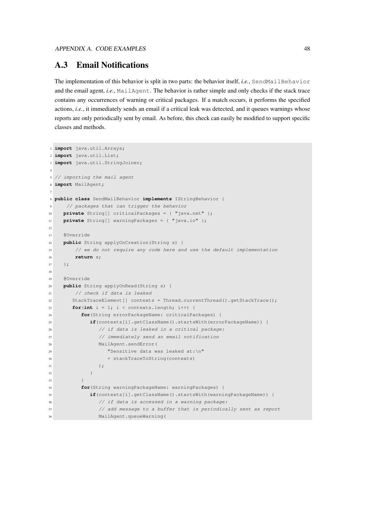#### <span id="page-52-0"></span>A.3 Email Notifications

The implementation of this behavior is split in two parts: the behavior itself, *i.e.*, SendMailBehavior and the email agent, *i.e.*, MailAgent. The behavior is rather simple and only checks if the stack trace contains any occurrences of warning or critical packages. If a match occurs, it performs the specified actions, *i.e.*, it immediately sends an email if a critical leak was detected, and it queues warnings whose reports are only periodically sent by email. As before, this check can easily be modified to support specific classes and methods.

```
1 import java.util.Arrays;
2 import java.util.List;
3 import java.util.StringJoiner;
4
5 // importing the mail agent
6 import MailAgent;
7
8 public class SendMailBehavior implements IStringBehavior {
9 // packages that can trigger the behavior
10 private String[] criticalPackages = { "java.net" };
11 private String[] warningPackages = { "java.io" };
12
13 @Override
14 public String applyOnCreation(String s) {
15 // we do not require any code here and use the default implementation
16 return s;
17 \t} } ;
18
19 @Override
20 public String applyOnRead(String s) {
21 // check if data is leaked
22 StackTraceElement[] contexts = Thread.currentThread().getStackTrace();
23 for(int i = 1; i < contexts.length; i+1) {
24 for(String errorPackageName: criticalPackages) {
25 if(contexts[i].getClassName().startsWith(errorPackageName)) {
26 // if data is leaked in a critical package:
27 // immediately send an email notification
28 MailAgent.sendError(
29 "Sensitive data was leaked at:\n"
30 + stackTraceToString(contexts)
31 );
32 }
33 }
34 for(String warningPackageName: warningPackages) {
35 if(contexts[i].getClassName().startsWith(warningPackageName)) {
36 // if data is accessed in a warning package:
37 // add message to a buffer that is periodically sent as report
38 MailAgent.queueWarning(
```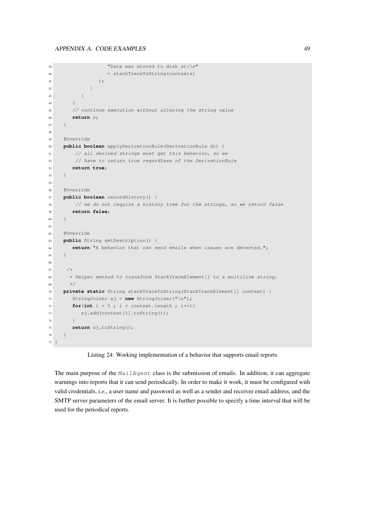```
39 "Data was stored to disk at:\n"
40 + stackTraceToString(contexts)
41 );
42 }
43 }
44 }
45 // continue execution without altering the string value
46 return s;
47 }
48
49 @Override
50 public boolean applyDerivationRule(DerivationRule dr) {
51 // all derived strings must get this behavior, so we
52 // have to return true regardless of the DerivationRule
53 return true;
54 }
55
56 @Override
57 public boolean recordHistory() {
58 // we do not require a history tree for the strings, so we return false
59 return false;
60 }
61
62 @Override
63 public String getDescription() {
64 return "A behavior that can send emails when issues are detected.";
65 }
66
67 /\star68 * Helper method to transform StackTraceElement[] to a multiline string.
69 \star/70 private static String stackTraceToString(StackTraceElement[] context) {
71 StringJoiner sj = new StringJoiner("\n");
72 for(int i = 5; i < context.length; i+1}{
73 sj.add(context[i].toString());
74 }
75 return sj.toString();
76 \qquad }
77 }
```
Listing 24: Working implementation of a behavior that supports email reports

The main purpose of the MailAgent class is the submission of emails. In addition, it can aggregate warnings into reports that it can send periodically. In order to make it work, it must be configured with valid credentials, *i.e.*, a user name and password as well as a sender and receiver email address, and the SMTP server parameters of the email server. It is further possible to specify a time interval that will be used for the periodical reports.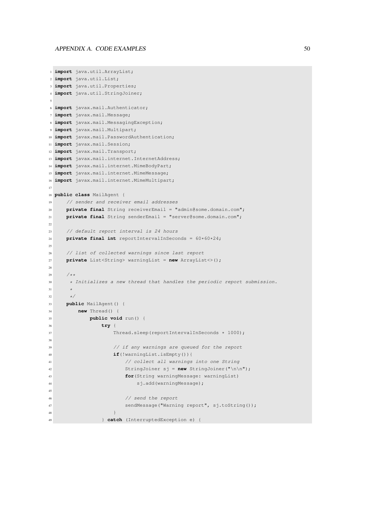```
1 import java.util.ArrayList;
2 import java.util.List;
3 import java.util.Properties;
4 import java.util.StringJoiner;
5
6 import javax.mail.Authenticator;
7 import javax.mail.Message;
8 import javax.mail.MessagingException;
9 import javax.mail.Multipart;
10 import javax.mail.PasswordAuthentication;
11 import javax.mail.Session;
12 import javax.mail.Transport;
13 import javax.mail.internet.InternetAddress;
14 import javax.mail.internet.MimeBodyPart;
15 import javax.mail.internet.MimeMessage;
16 import javax.mail.internet.MimeMultipart;
17
18 public class MailAgent {
19 // sender and receiver email addresses
20 private final String receiverEmail = "admin@some.domain.com";
21 private final String senderEmail = "server@some.domain.com";
2223 // default report interval is 24 hours
24 private final int reportIntervalInSeconds = 60*60*24;
25
26 // list of collected warnings since last report
27 private List<String> warningList = new ArrayList<>();
28
29 /**
30 * Initializes a new thread that handles the periodic report submission.
31 *
32 \times /33 public MailAgent() {
34 new Thread() {
35 public void run() {
36 try {
37 Thread.sleep(reportIntervalInSeconds * 1000);
38
39 // if any warnings are queued for the report
40 if(!warningList.isEmpty()){
41 // collect all warnings into one String
42 StringJoiner sj = new StringJoiner("\n\n");
43 for(String warningMessage: warningList)
44 sj.add(warningMessage);
45
46 // send the report
47 sendMessage("Warning report", sj.toString());
\overline{48} }
49 } catch (InterruptedException e) {
```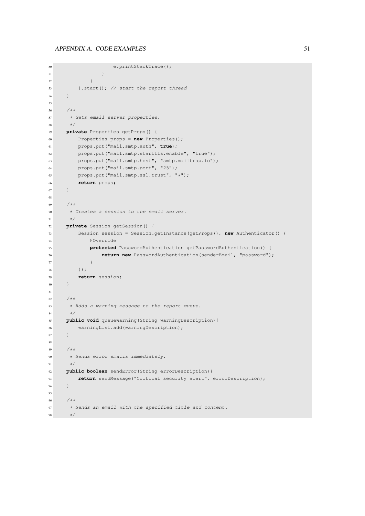```
50 e.printStackTrace();
51 }
52 }
53 }.start(); // start the report thread
54 }
55
56 /**57 * Gets email server properties.
58 \star/59 private Properties getProps() {
60 Properties props = new Properties();
61 props.put("mail.smtp.auth", true);
62 props.put("mail.smtp.starttls.enable", "true");
63 props.put("mail.smtp.host", "smtp.mailtrap.io");
64 props.put("mail.smtp.port", "25");
65 props.put("mail.smtp.ssl.trust", "*");
66 return props;
67 }
68
69 /**
70 * Creates a session to the email server.
71 \times72 private Session getSession() {
73 Session session = Session.getInstance(getProps(), new Authenticator() {
74 @Override
75 protected PasswordAuthentication getPasswordAuthentication() {
76 return new PasswordAuthentication(senderEmail, "password");
77 }
78 });
79 return session;
80 }
81
82 /**
83 * Adds a warning message to the report queue.
84 \star /
85 public void queueWarning(String warningDescription){
86 warningList.add(warningDescription);
87 }
88
89 /**
90 * Sends error emails immediately.
91 \qquad \qquad \star/92 public boolean sendError(String errorDescription){
93 return sendMessage("Critical security alert", errorDescription);
94 }
95
96 /**
97 * Sends an email with the specified title and content.
98 \star/
```